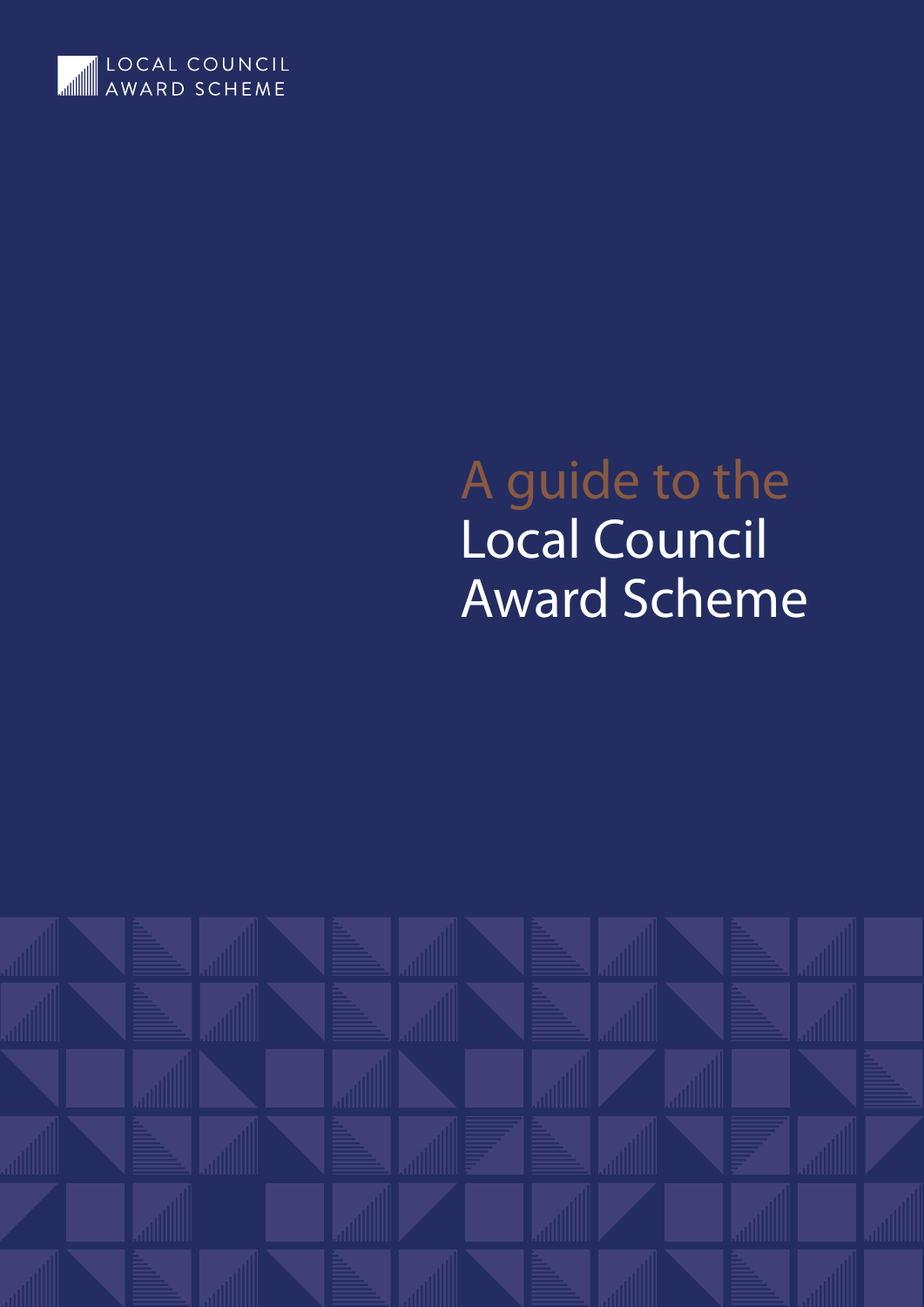

# A guide to the Local Council Award Scheme

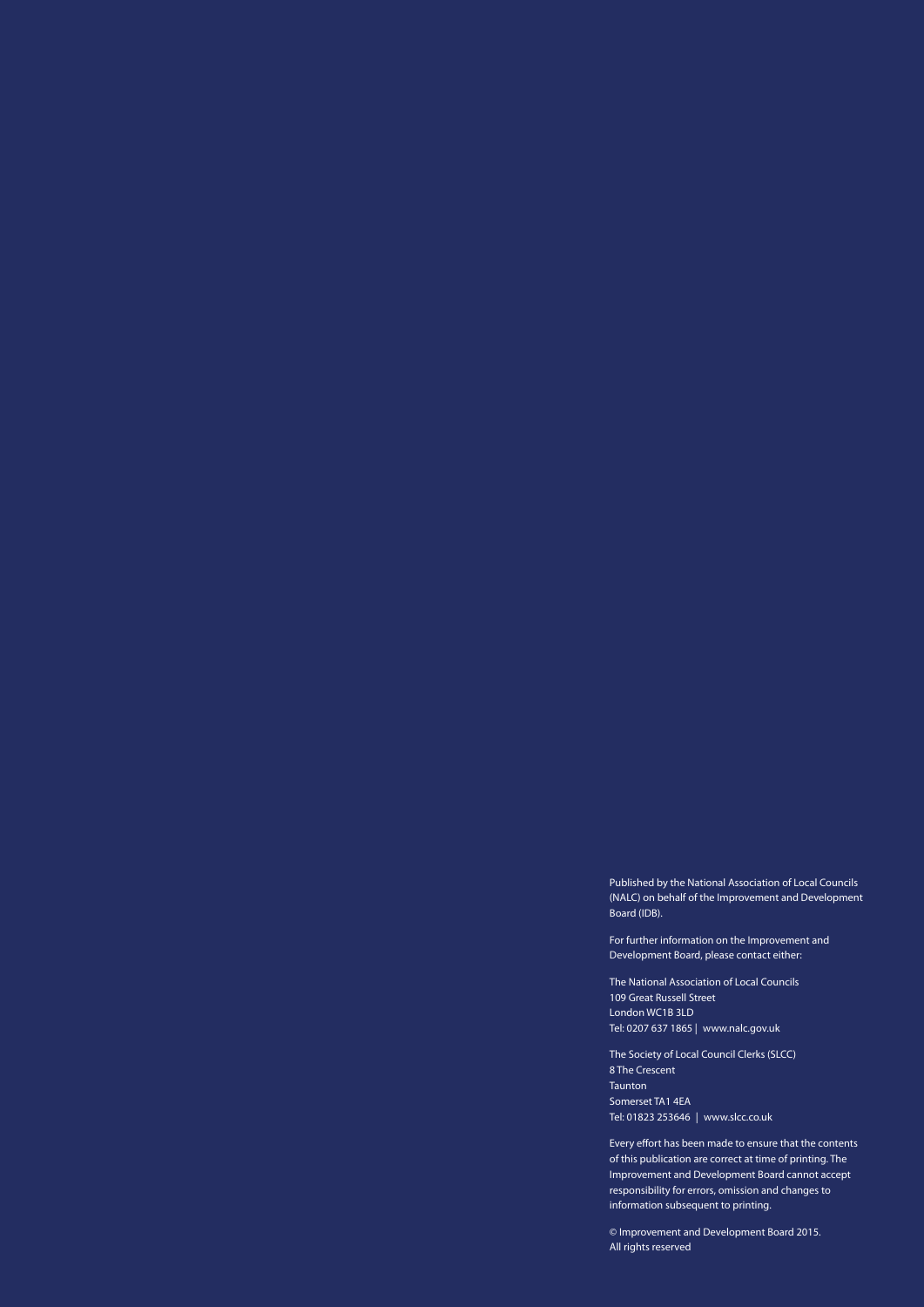Published by the National Association of Local Councils (NALC) on behalf of the Improvement and Development Board (IDB).

For further information on the Improvement and Development Board, please contact either:

The National Association of Local Councils 109 Great Russell Street London WC1B 3LD Tel: 0207 637 1865 | www.nalc.gov.uk

The Society of Local Council Clerks (SLCC) 8 The Crescent Taunton Somerset TA1 4EA Tel: 01823 253646 | www.slcc.co.uk

Every effort has been made to ensure that the contents of this publication are correct at time of printing. The Improvement and Development Board cannot accept responsibility for errors, omission and changes to information subsequent to printing.

© Improvement and Development Board 2015. All rights reserved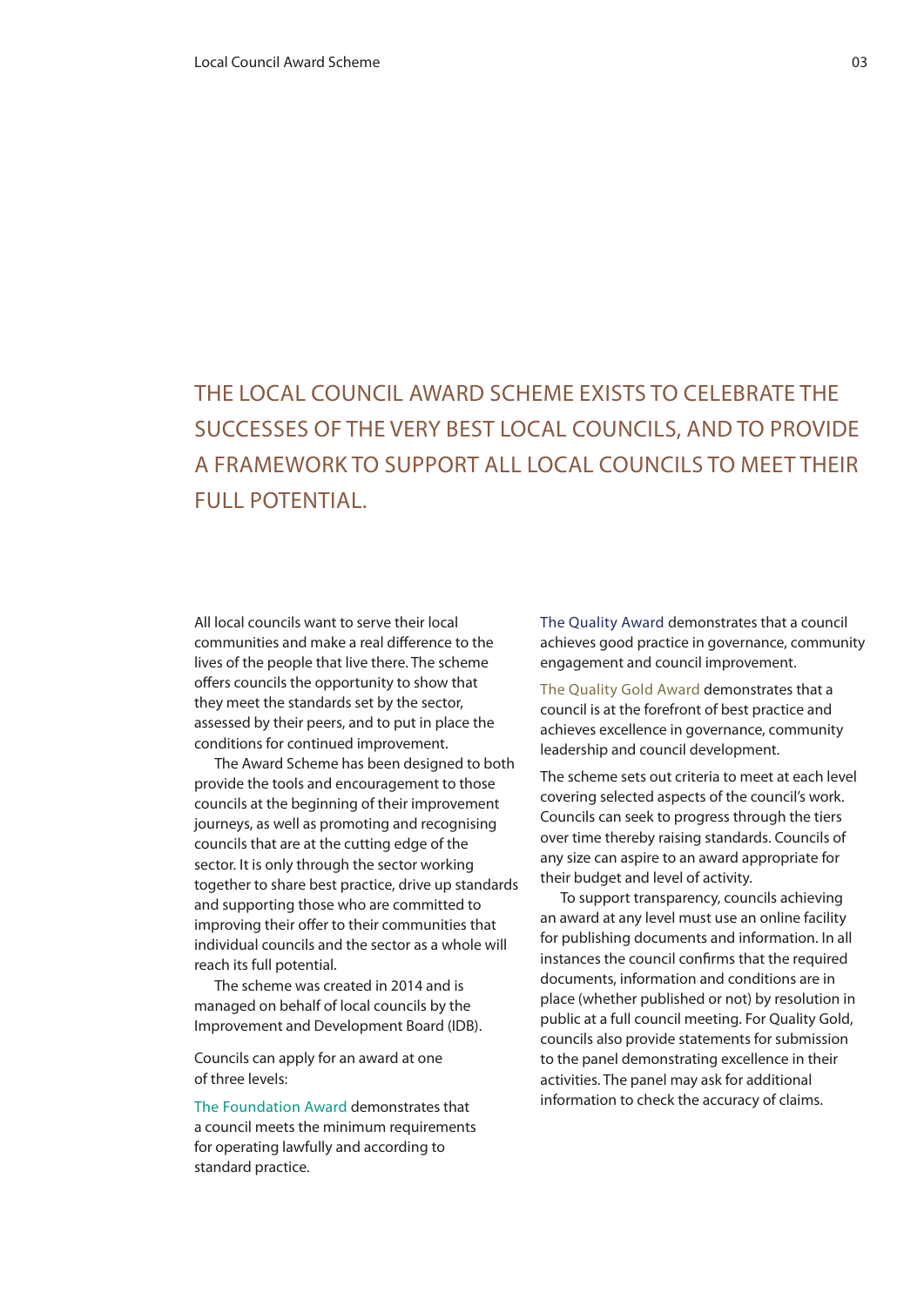## The Local Council Award Scheme exists to celebrate the successes of the very best local councils, and to provide a framework to support all local councils to meet their full potential.

All local councils want to serve their local communities and make a real difference to the lives of the people that live there. The scheme offers councils the opportunity to show that they meet the standards set by the sector, assessed by their peers, and to put in place the conditions for continued improvement.

The Award Scheme has been designed to both provide the tools and encouragement to those councils at the beginning of their improvement journeys, as well as promoting and recognising councils that are at the cutting edge of the sector. It is only through the sector working together to share best practice, drive up standards and supporting those who are committed to improving their offer to their communities that individual councils and the sector as a whole will reach its full potential.

The scheme was created in 2014 and is managed on behalf of local councils by the Improvement and Development Board (IDB).

Councils can apply for an award at one of three levels:

The Foundation Award demonstrates that a council meets the minimum requirements for operating lawfully and according to standard practice.

The Quality Award demonstrates that a council achieves good practice in governance, community engagement and council improvement.

The Quality Gold Award demonstrates that a council is at the forefront of best practice and achieves excellence in governance, community leadership and council development.

The scheme sets out criteria to meet at each level covering selected aspects of the council's work. Councils can seek to progress through the tiers over time thereby raising standards. Councils of any size can aspire to an award appropriate for their budget and level of activity.

To support transparency, councils achieving an award at any level must use an online facility for publishing documents and information. In all instances the council confirms that the required documents, information and conditions are in place (whether published or not) by resolution in public at a full council meeting. For Quality Gold, councils also provide statements for submission to the panel demonstrating excellence in their activities. The panel may ask for additional information to check the accuracy of claims.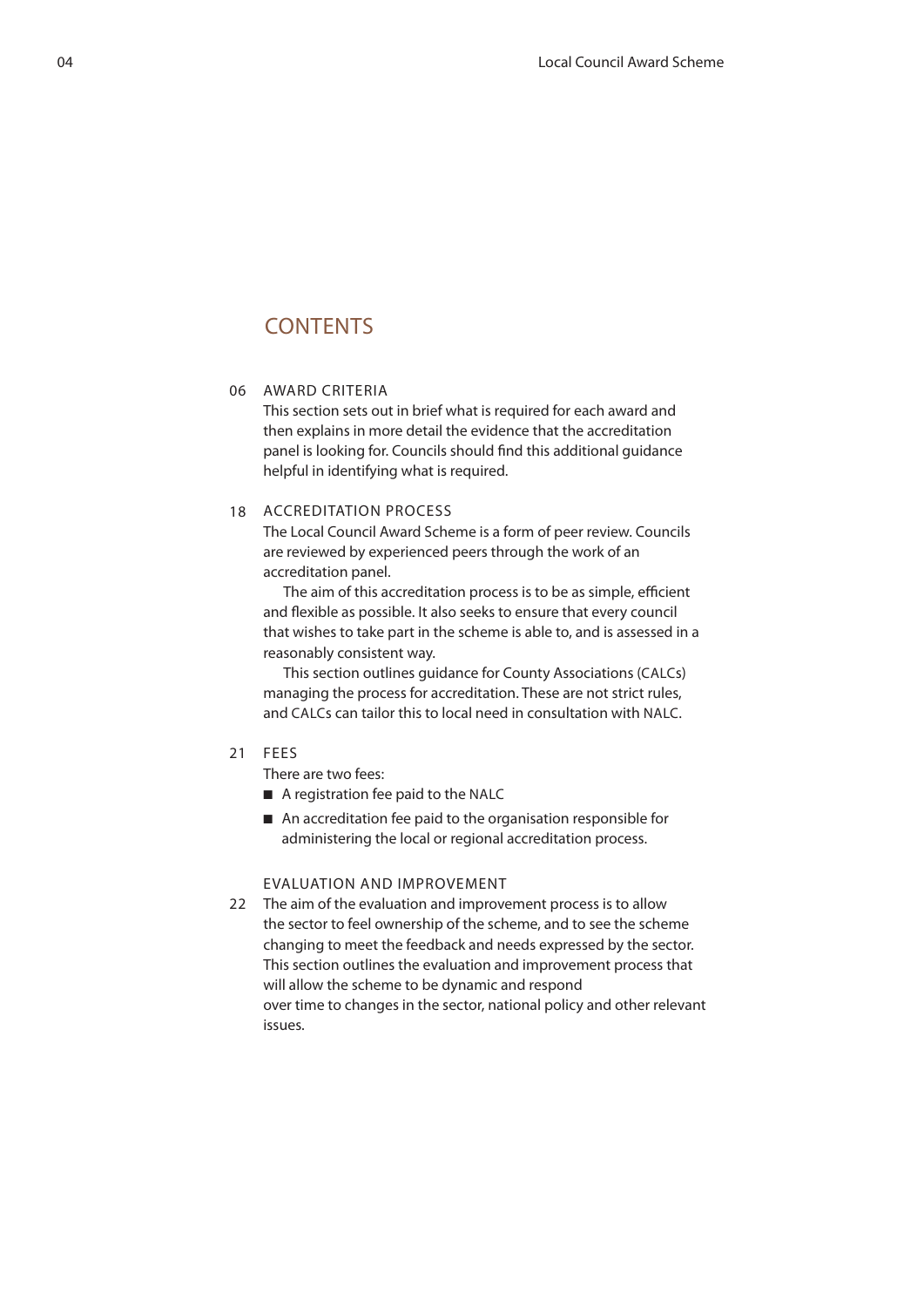## **CONTENTS**

#### 06 AWARD C

This section sets out in brief what is required for each award and then explains in more detail the evidence that the accreditation panel is looking for. Councils should find this additional guidance helpful in identifying what is required.

#### 18 ACCREDITATION PROC

The Local Council Award Scheme is a form of peer review. Councils are reviewed by experienced peers through the work of an accreditation panel.

The aim of this accreditation process is to be as simple, efficient and flexible as possible. It also seeks to ensure that every council that wishes to take part in the scheme is able to, and is assessed in a reasonably consistent way.

This section outlines guidance for County Associations (CALCs) managing the process for accreditation. These are not strict rules, and CALCs can tailor this to local need in consultation with NALC.

#### 21 FE

There are two fees:

- A registration fee paid to the NALC
- An accreditation fee paid to the organisation responsible for administering the local or regional accreditation process.

#### Evaluation and improvement

22 The aim of the evaluation and improvement process is to allow the sector to feel ownership of the scheme, and to see the scheme changing to meet the feedback and needs expressed by the sector. This section outlines the evaluation and improvement process that will allow the scheme to be dynamic and respond over time to changes in the sector, national policy and other relevant issues.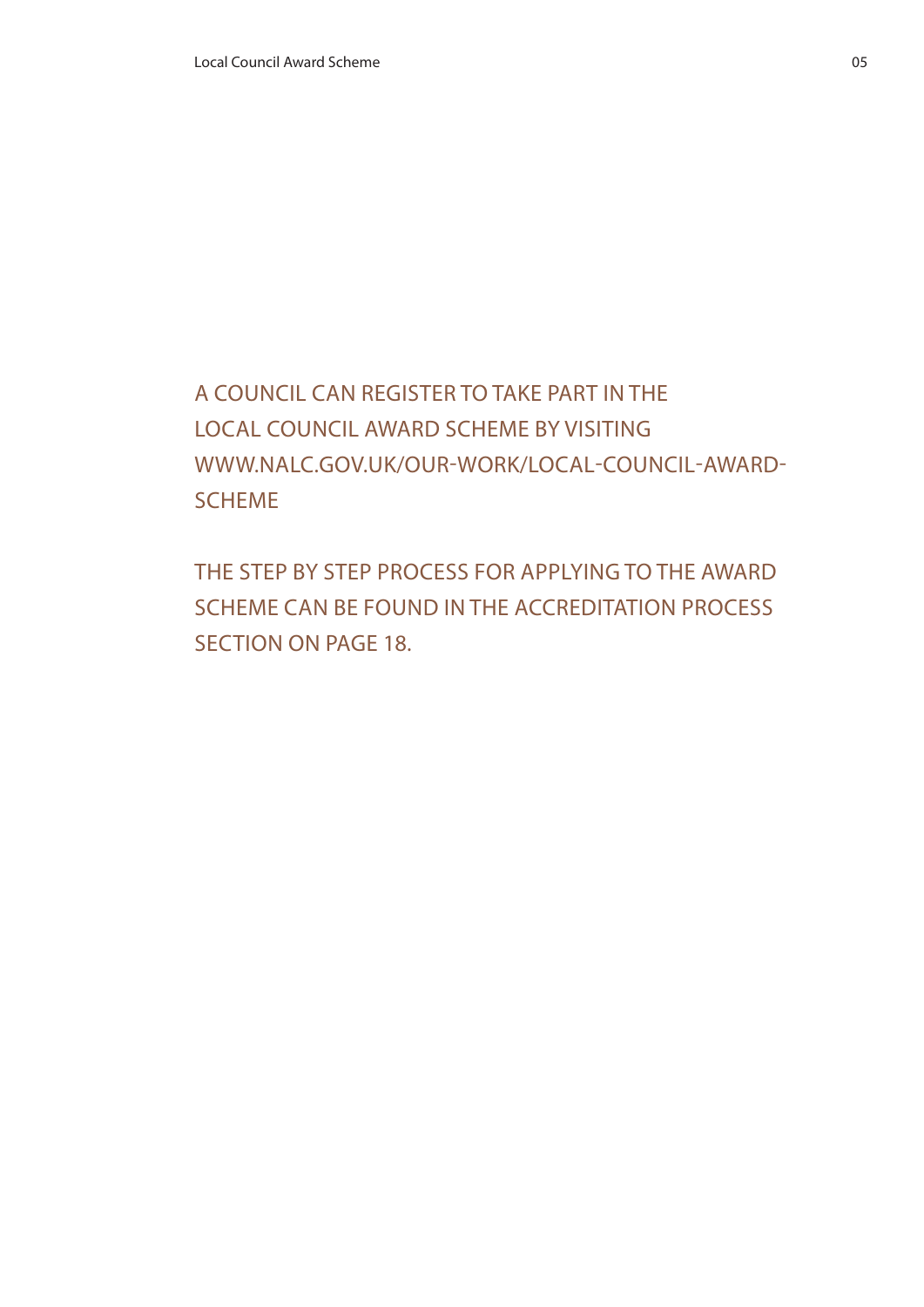# A council can register to take part in the Local Council Award Scheme by visiting www.nalc.gov.uk/our-work/local-council-award-**SCHEME**

The step by step process for applying to the Award Scheme can be found in the Accreditation Process section on page 18.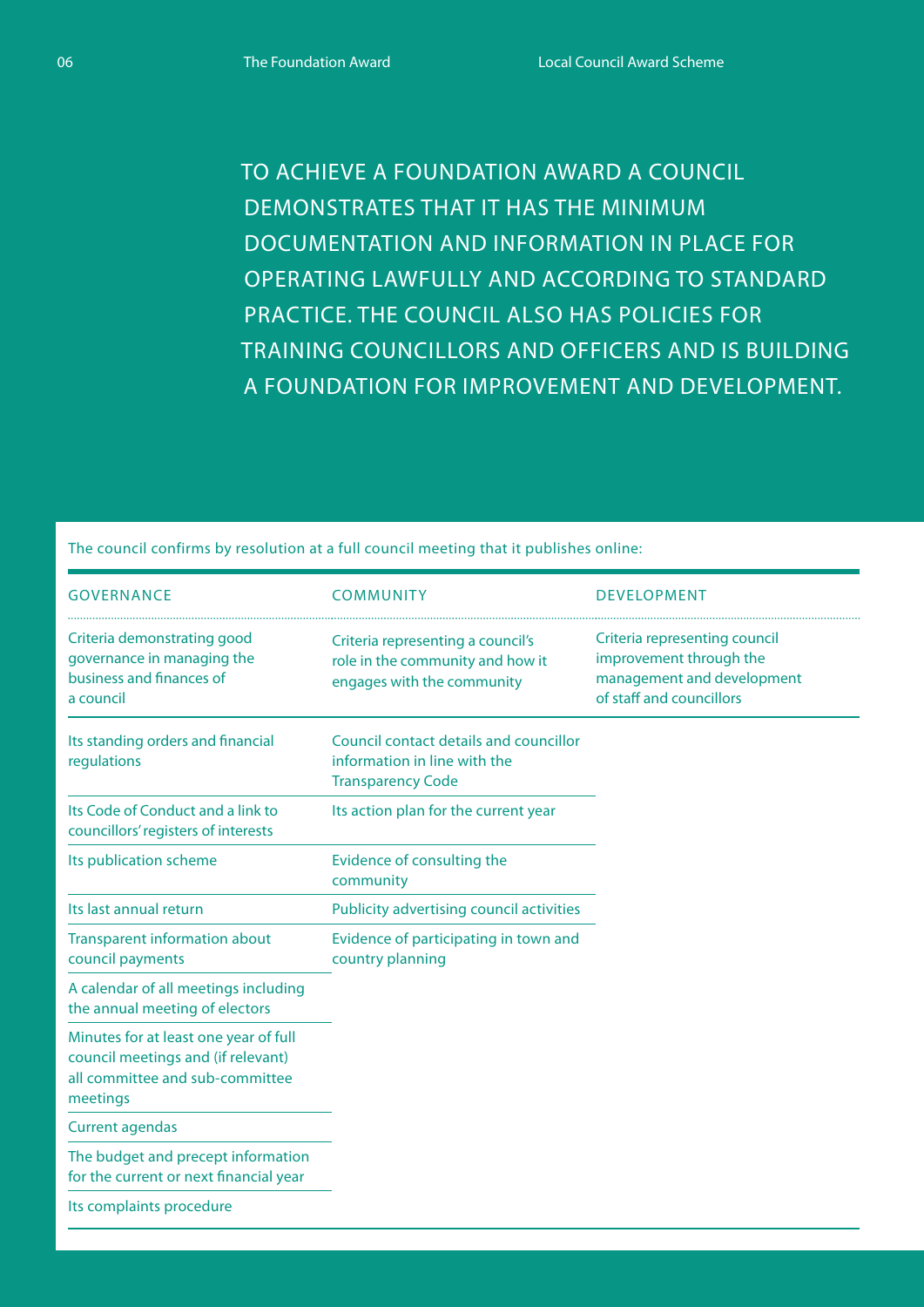To achieve a Foundation Award a council demonstrates that it has the minimum documentation and information in place for operating lawfully and according to standard practice. The council also has policies for training councillors and officers and is building a foundation for improvement and development.

The council confirms by resolution at a full council meeting that it publishes online:

| <b>GOVERNANCE</b>                                                                                                          | <b>COMMUNITY</b>                                                                                    | <b>DEVELOPMENT</b>                                                                                                 |
|----------------------------------------------------------------------------------------------------------------------------|-----------------------------------------------------------------------------------------------------|--------------------------------------------------------------------------------------------------------------------|
| Criteria demonstrating good<br>governance in managing the<br>business and finances of<br>a council                         | Criteria representing a council's<br>role in the community and how it<br>engages with the community | Criteria representing council<br>improvement through the<br>management and development<br>of staff and councillors |
| Its standing orders and financial<br>regulations                                                                           | Council contact details and councillor<br>information in line with the<br><b>Transparency Code</b>  |                                                                                                                    |
| Its Code of Conduct and a link to<br>councillors' registers of interests                                                   | Its action plan for the current year                                                                |                                                                                                                    |
| Its publication scheme                                                                                                     | Evidence of consulting the<br>community                                                             |                                                                                                                    |
| Its last annual return                                                                                                     | Publicity advertising council activities                                                            |                                                                                                                    |
| <b>Transparent information about</b><br>council payments                                                                   | Evidence of participating in town and<br>country planning                                           |                                                                                                                    |
| A calendar of all meetings including<br>the annual meeting of electors                                                     |                                                                                                     |                                                                                                                    |
| Minutes for at least one year of full<br>council meetings and (if relevant)<br>all committee and sub-committee<br>meetings |                                                                                                     |                                                                                                                    |
| <b>Current agendas</b>                                                                                                     |                                                                                                     |                                                                                                                    |
| The budget and precept information<br>for the current or next financial year                                               |                                                                                                     |                                                                                                                    |
| Its complaints procedure                                                                                                   |                                                                                                     |                                                                                                                    |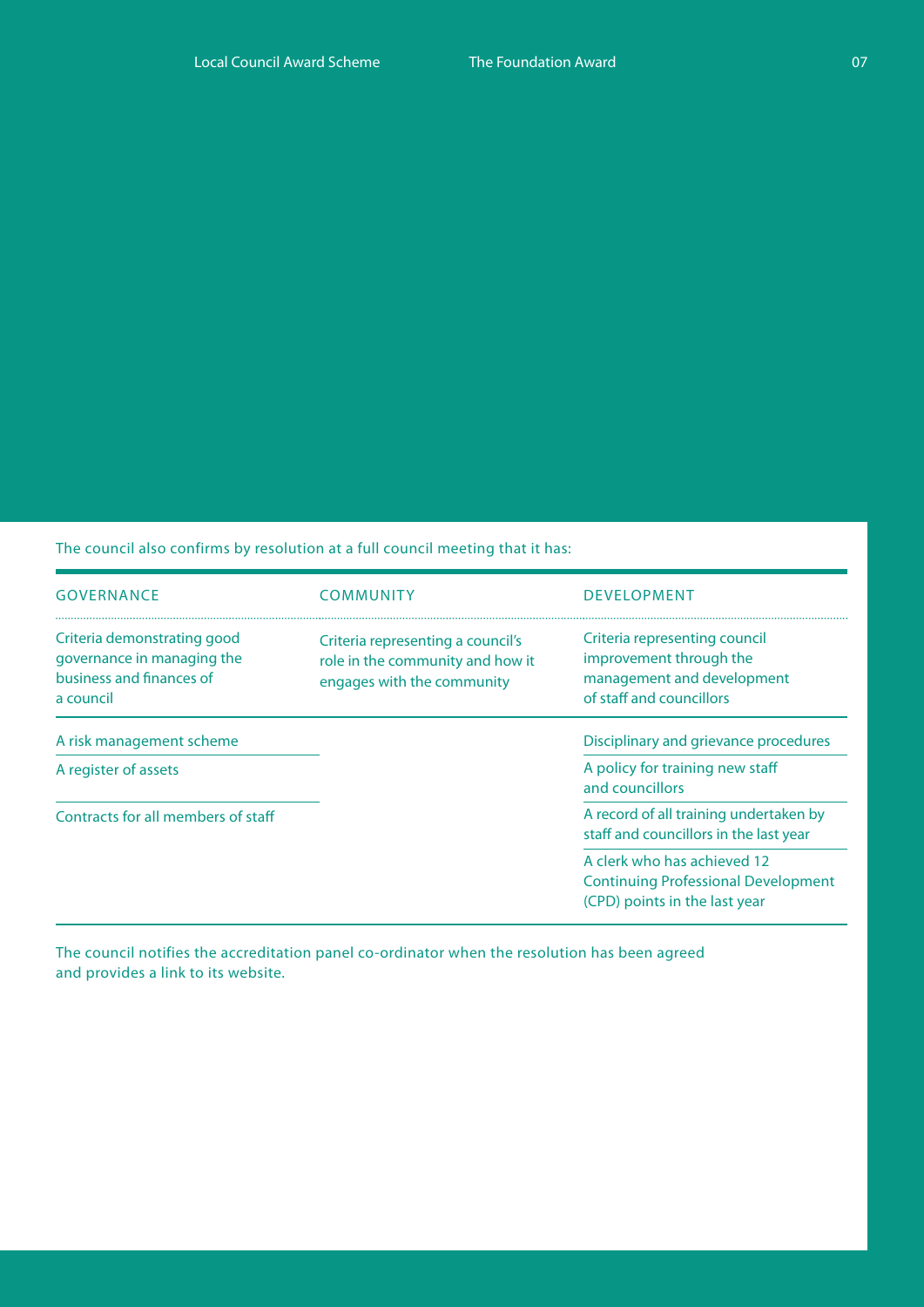The council also confirms by resolution at a full council meeting that it has:

| <b>GOVERNANCE</b>                                                                                  | COMMUNITY                                                                                           | <b>DEVELOPMENT</b>                                                                                                 |  |
|----------------------------------------------------------------------------------------------------|-----------------------------------------------------------------------------------------------------|--------------------------------------------------------------------------------------------------------------------|--|
| Criteria demonstrating good<br>governance in managing the<br>business and finances of<br>a council | Criteria representing a council's<br>role in the community and how it<br>engages with the community | Criteria representing council<br>improvement through the<br>management and development<br>of staff and councillors |  |
| A risk management scheme                                                                           |                                                                                                     | Disciplinary and grievance procedures                                                                              |  |
| A register of assets                                                                               |                                                                                                     | A policy for training new staff<br>and councillors                                                                 |  |
| Contracts for all members of staff                                                                 |                                                                                                     | A record of all training undertaken by<br>staff and councillors in the last year                                   |  |
|                                                                                                    |                                                                                                     | A clerk who has achieved 12<br><b>Continuing Professional Development</b><br>(CPD) points in the last year         |  |

The council notifies the accreditation panel co-ordinator when the resolution has been agreed and provides a link to its website.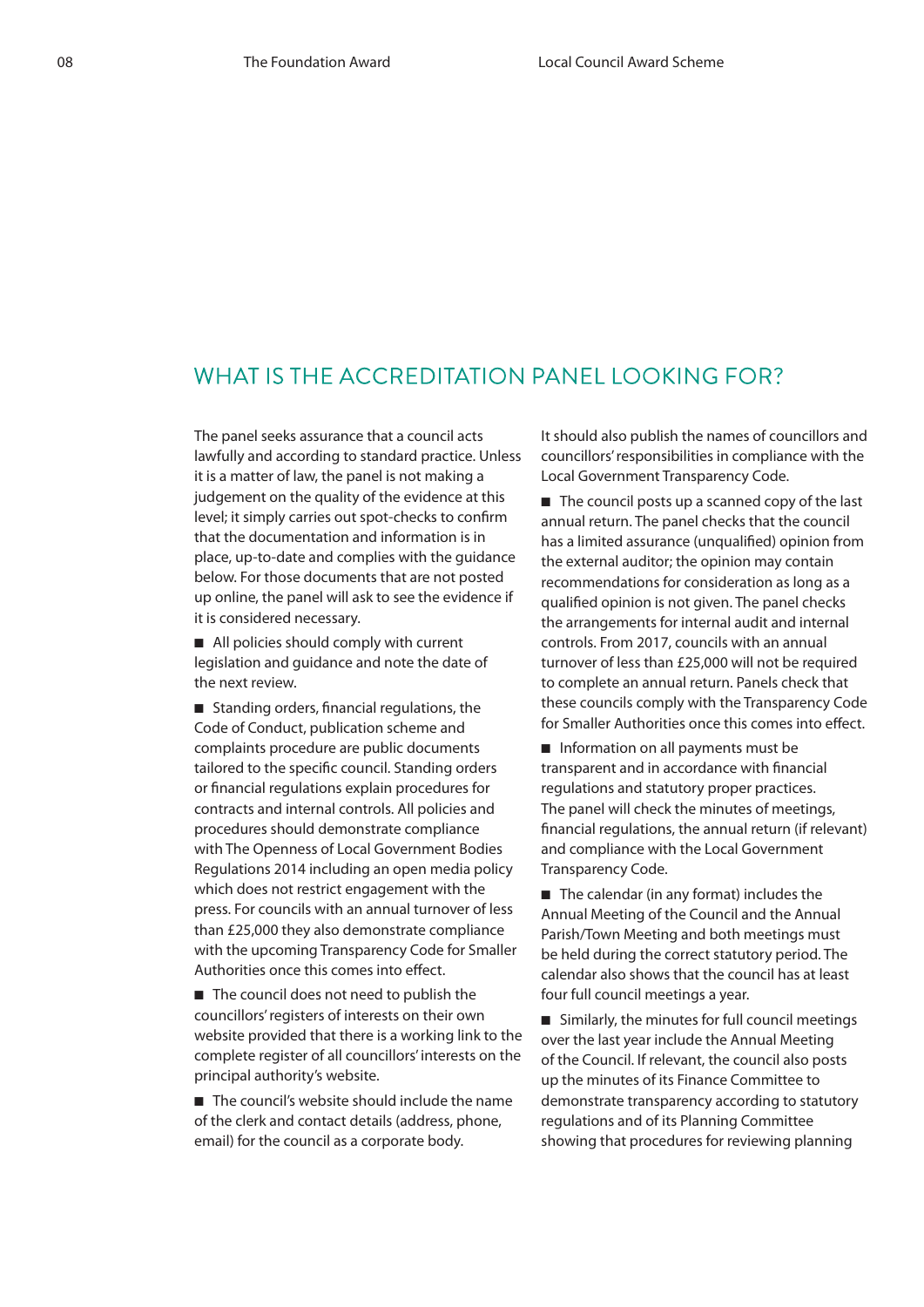## WHAT IS THE ACCREDITATION PANEL LOOKING FOR?

The panel seeks assurance that a council acts lawfully and according to standard practice. Unless it is a matter of law, the panel is not making a judgement on the quality of the evidence at this level; it simply carries out spot-checks to confirm that the documentation and information is in place, up-to-date and complies with the guidance below. For those documents that are not posted up online, the panel will ask to see the evidence if it is considered necessary.

■ All policies should comply with current legislation and guidance and note the date of the next review.

■ Standing orders, financial regulations, the Code of Conduct, publication scheme and complaints procedure are public documents tailored to the specific council. Standing orders or financial regulations explain procedures for contracts and internal controls. All policies and procedures should demonstrate compliance with The Openness of Local Government Bodies Regulations 2014 including an open media policy which does not restrict engagement with the press. For councils with an annual turnover of less than £25,000 they also demonstrate compliance with the upcoming Transparency Code for Smaller Authorities once this comes into effect.

■ The council does not need to publish the councillors' registers of interests on their own website provided that there is a working link to the complete register of all councillors' interests on the principal authority's website.

■ The council's website should include the name of the clerk and contact details (address, phone, email) for the council as a corporate body.

It should also publish the names of councillors and councillors' responsibilities in compliance with the Local Government Transparency Code.

■ The council posts up a scanned copy of the last annual return. The panel checks that the council has a limited assurance (unqualified) opinion from the external auditor; the opinion may contain recommendations for consideration as long as a qualified opinion is not given. The panel checks the arrangements for internal audit and internal controls. From 2017, councils with an annual turnover of less than £25,000 will not be required to complete an annual return. Panels check that these councils comply with the Transparency Code for Smaller Authorities once this comes into effect.

■ Information on all payments must be transparent and in accordance with financial regulations and statutory proper practices. The panel will check the minutes of meetings, financial regulations, the annual return (if relevant) and compliance with the Local Government Transparency Code.

■ The calendar (in any format) includes the Annual Meeting of the Council and the Annual Parish/Town Meeting and both meetings must be held during the correct statutory period. The calendar also shows that the council has at least four full council meetings a year.

■ Similarly, the minutes for full council meetings over the last year include the Annual Meeting of the Council. If relevant, the council also posts up the minutes of its Finance Committee to demonstrate transparency according to statutory regulations and of its Planning Committee showing that procedures for reviewing planning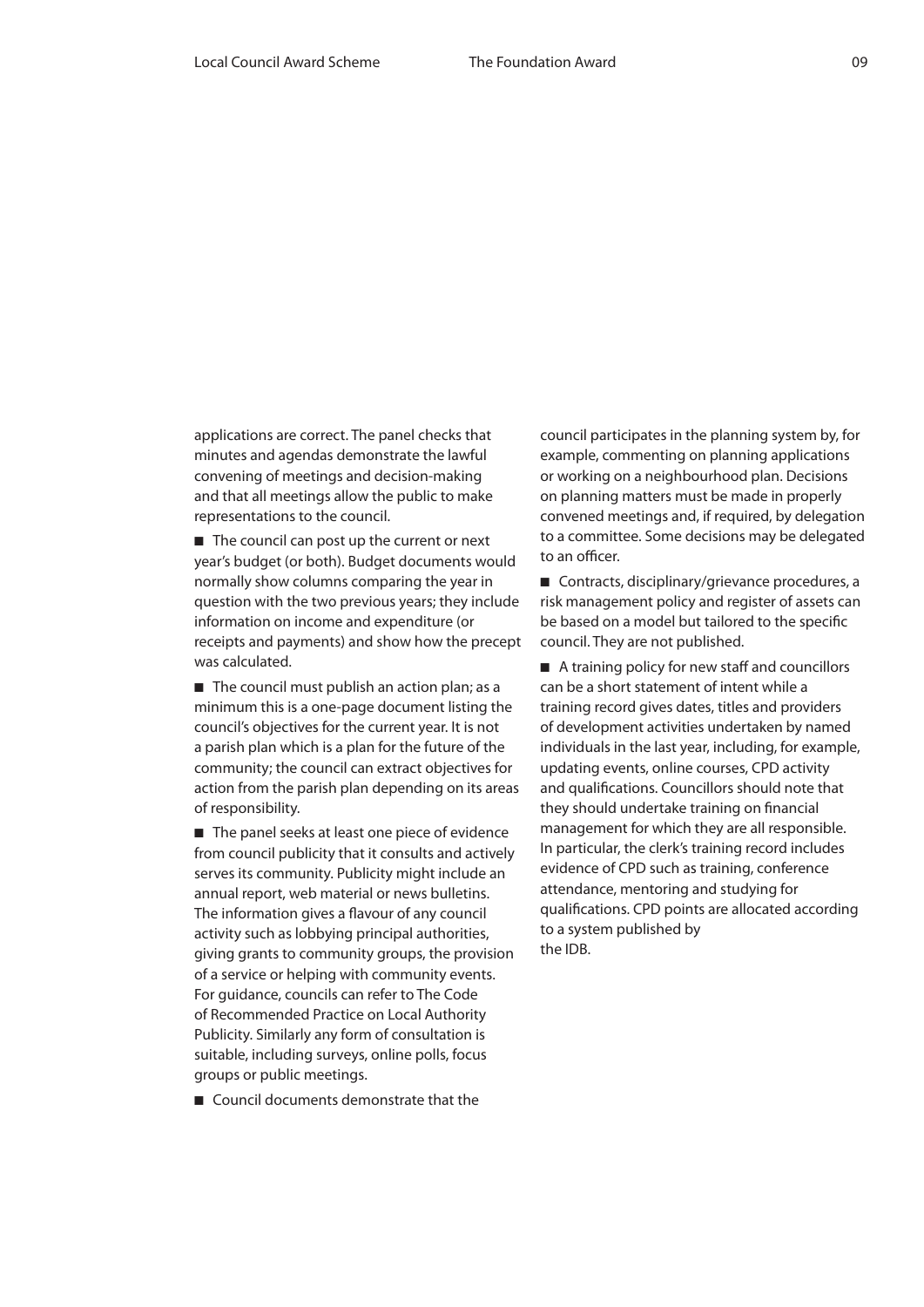applications are correct. The panel checks that minutes and agendas demonstrate the lawful convening of meetings and decision-making and that all meetings allow the public to make representations to the council.

■ The council can post up the current or next year's budget (or both). Budget documents would normally show columns comparing the year in question with the two previous years; they include information on income and expenditure (or receipts and payments) and show how the precept was calculated.

■ The council must publish an action plan; as a minimum this is a one-page document listing the council's objectives for the current year. It is not a parish plan which is a plan for the future of the community; the council can extract objectives for action from the parish plan depending on its areas of responsibility.

■ The panel seeks at least one piece of evidence from council publicity that it consults and actively serves its community. Publicity might include an annual report, web material or news bulletins. The information gives a flavour of any council activity such as lobbying principal authorities, giving grants to community groups, the provision of a service or helping with community events. For guidance, councils can refer to The Code of Recommended Practice on Local Authority Publicity. Similarly any form of consultation is suitable, including surveys, online polls, focus groups or public meetings.

■ Council documents demonstrate that the

council participates in the planning system by, for example, commenting on planning applications or working on a neighbourhood plan. Decisions on planning matters must be made in properly convened meetings and, if required, by delegation to a committee. Some decisions may be delegated to an officer.

■ Contracts, disciplinary/grievance procedures, a risk management policy and register of assets can be based on a model but tailored to the specific council. They are not published.

■ A training policy for new staff and councillors can be a short statement of intent while a training record gives dates, titles and providers of development activities undertaken by named individuals in the last year, including, for example, updating events, online courses, CPD activity and qualifications. Councillors should note that they should undertake training on financial management for which they are all responsible. In particular, the clerk's training record includes evidence of CPD such as training, conference attendance, mentoring and studying for qualifications. CPD points are allocated according to a system published by the IDB.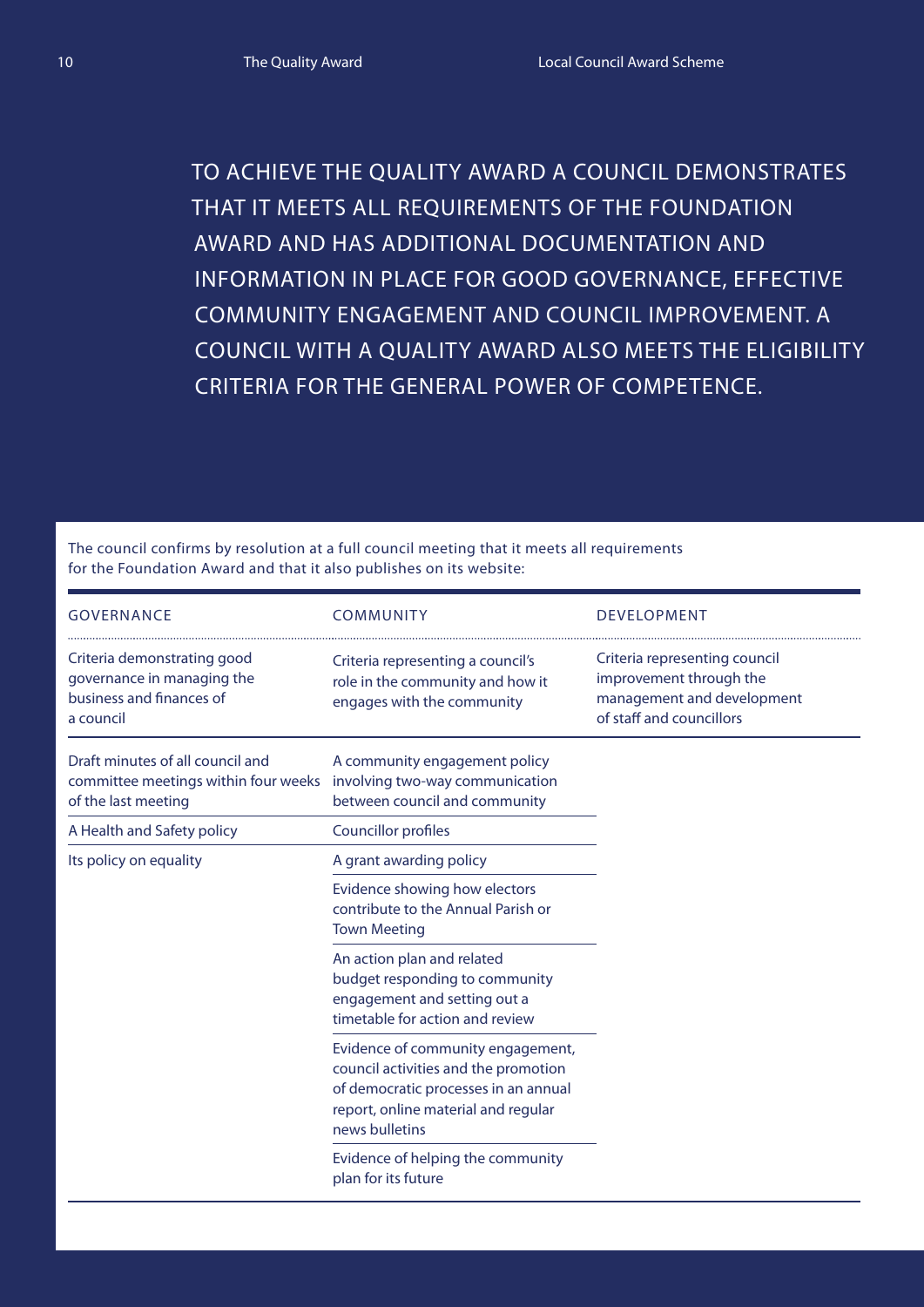To achieve the Quality Award a council demonstrates that it meets all requirements of the Foundation Award and has additional documentation and information in place for good governance, effective community engagement and council improvement. A council with a Quality Award also meets the eligibility criteria for the general power of competence.

The council confirms by resolution at a full council meeting that it meets all requirements for the Foundation Award and that it also publishes on its website:

| <b>GOVERNANCE</b>                                                                                  | <b>COMMUNITY</b>                                                                                                                                                           | <b>DEVELOPMENT</b>                                                                                                 |
|----------------------------------------------------------------------------------------------------|----------------------------------------------------------------------------------------------------------------------------------------------------------------------------|--------------------------------------------------------------------------------------------------------------------|
| Criteria demonstrating good<br>governance in managing the<br>business and finances of<br>a council | Criteria representing a council's<br>role in the community and how it<br>engages with the community                                                                        | Criteria representing council<br>improvement through the<br>management and development<br>of staff and councillors |
| Draft minutes of all council and<br>committee meetings within four weeks<br>of the last meeting    | A community engagement policy<br>involving two-way communication<br>between council and community                                                                          |                                                                                                                    |
| A Health and Safety policy                                                                         | <b>Councillor profiles</b>                                                                                                                                                 |                                                                                                                    |
| Its policy on equality                                                                             | A grant awarding policy                                                                                                                                                    |                                                                                                                    |
|                                                                                                    | Evidence showing how electors<br>contribute to the Annual Parish or<br><b>Town Meeting</b>                                                                                 |                                                                                                                    |
|                                                                                                    | An action plan and related<br>budget responding to community<br>engagement and setting out a<br>timetable for action and review                                            |                                                                                                                    |
|                                                                                                    | Evidence of community engagement,<br>council activities and the promotion<br>of democratic processes in an annual<br>report, online material and regular<br>news bulletins |                                                                                                                    |
|                                                                                                    | Evidence of helping the community<br>plan for its future                                                                                                                   |                                                                                                                    |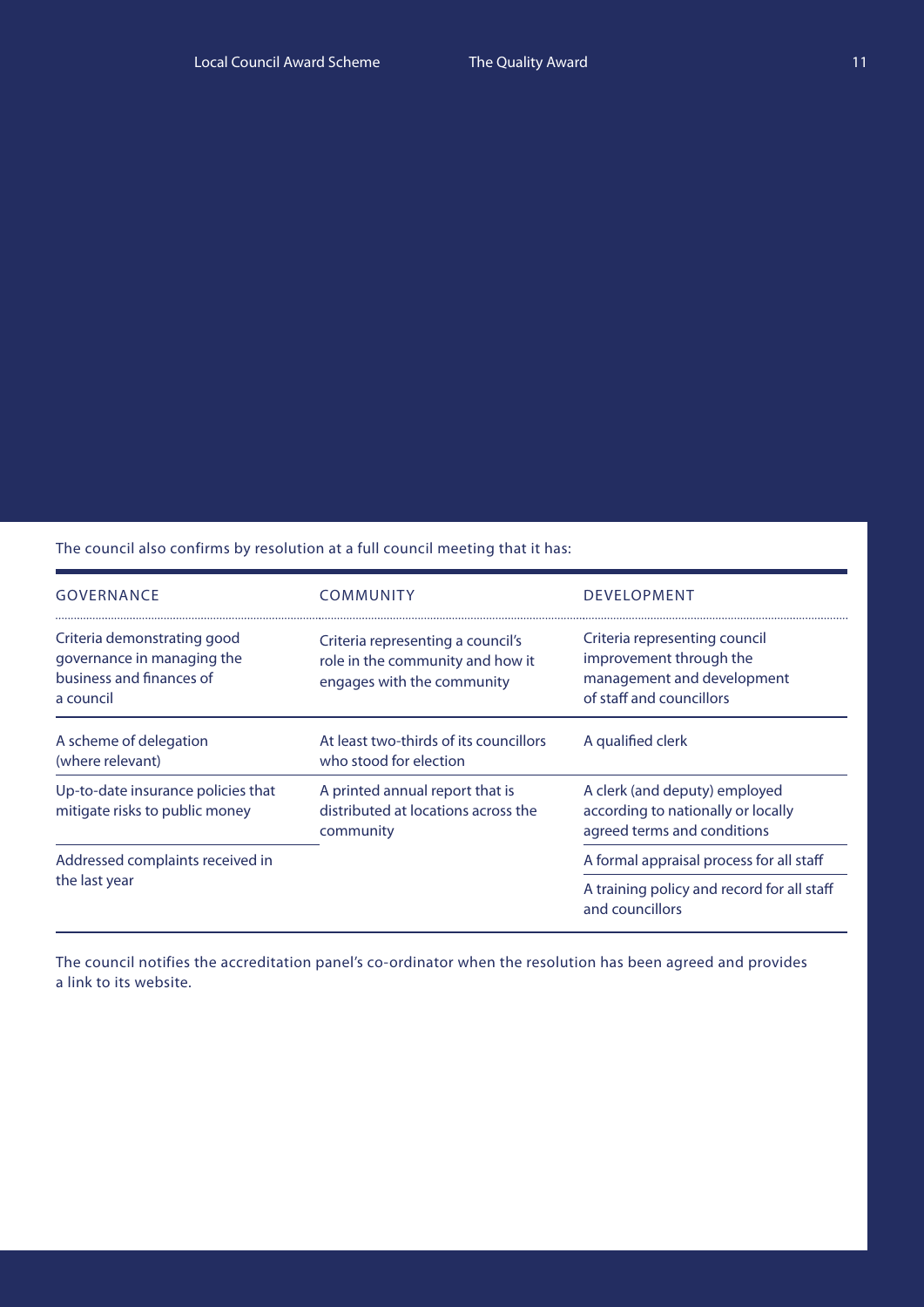The council also confirms by resolution at a full council meeting that it has:

| <b>GOVERNANCE</b>                                                                                  | <b>COMMUNITY</b>                                                                                    | <b>DEVELOPMENT</b>                                                                                                 |  |
|----------------------------------------------------------------------------------------------------|-----------------------------------------------------------------------------------------------------|--------------------------------------------------------------------------------------------------------------------|--|
| Criteria demonstrating good<br>governance in managing the<br>business and finances of<br>a council | Criteria representing a council's<br>role in the community and how it<br>engages with the community | Criteria representing council<br>improvement through the<br>management and development<br>of staff and councillors |  |
| A scheme of delegation<br>(where relevant)                                                         | At least two-thirds of its councillors<br>who stood for election                                    | A qualified clerk                                                                                                  |  |
| Up-to-date insurance policies that<br>mitigate risks to public money                               | A printed annual report that is<br>distributed at locations across the<br>community                 | A clerk (and deputy) employed<br>according to nationally or locally<br>agreed terms and conditions                 |  |
| Addressed complaints received in<br>the last year                                                  |                                                                                                     | A formal appraisal process for all staff                                                                           |  |
|                                                                                                    |                                                                                                     | A training policy and record for all staff<br>and councillors                                                      |  |

The council notifies the accreditation panel's co-ordinator when the resolution has been agreed and provides a link to its website.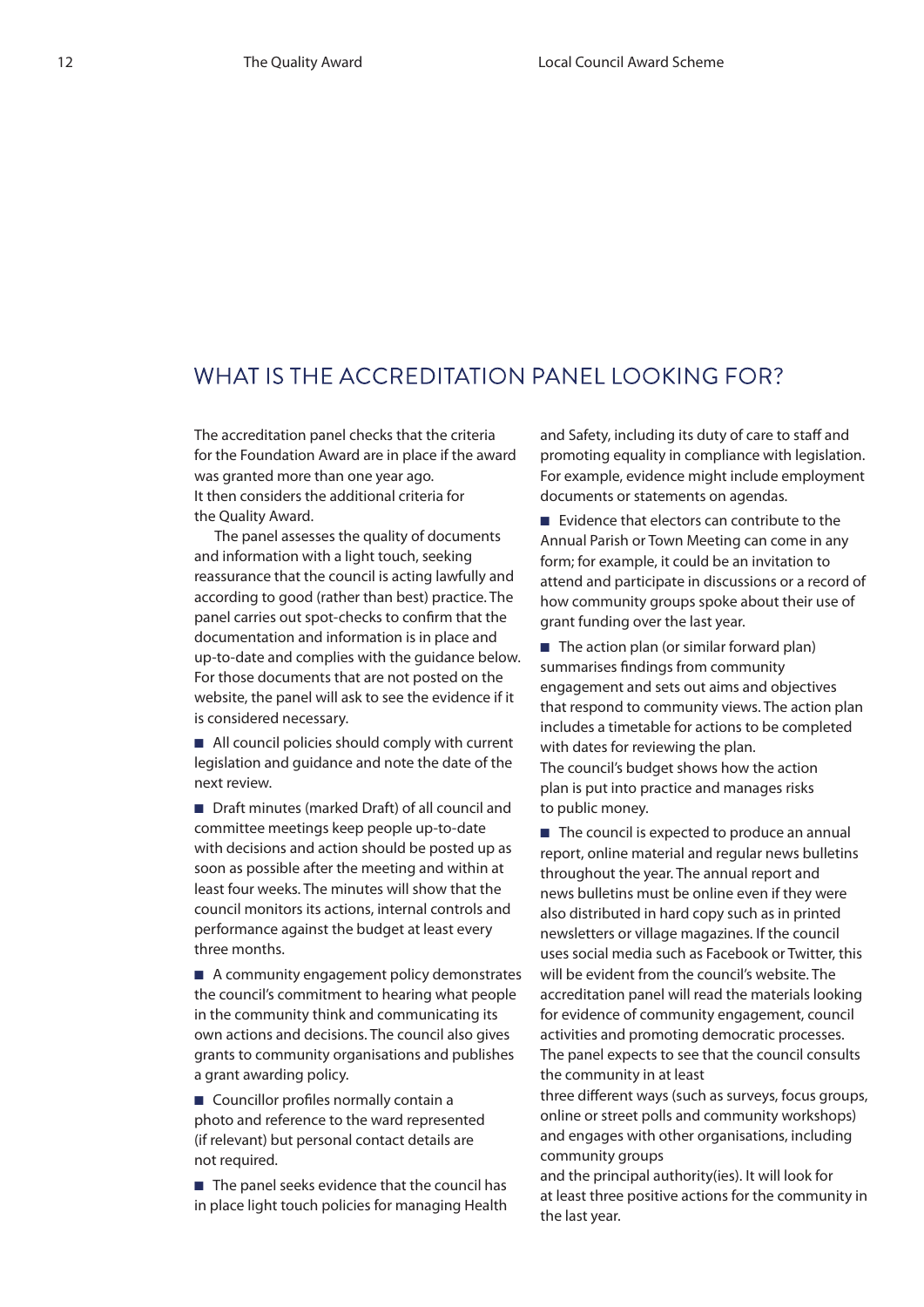## WHAT IS THE ACCREDITATION PANEL LOOKING FOR?

The accreditation panel checks that the criteria for the Foundation Award are in place if the award was granted more than one year ago. It then considers the additional criteria for the Quality Award.

The panel assesses the quality of documents and information with a light touch, seeking reassurance that the council is acting lawfully and according to good (rather than best) practice. The panel carries out spot-checks to confirm that the documentation and information is in place and up-to-date and complies with the guidance below. For those documents that are not posted on the website, the panel will ask to see the evidence if it is considered necessary.

■ All council policies should comply with current legislation and guidance and note the date of the next review.

■ Draft minutes (marked Draft) of all council and committee meetings keep people up-to-date with decisions and action should be posted up as soon as possible after the meeting and within at least four weeks. The minutes will show that the council monitors its actions, internal controls and performance against the budget at least every three months.

■ A community engagement policy demonstrates the council's commitment to hearing what people in the community think and communicating its own actions and decisions. The council also gives grants to community organisations and publishes a grant awarding policy.

■ Councillor profiles normally contain a photo and reference to the ward represented (if relevant) but personal contact details are not required.

■ The panel seeks evidence that the council has in place light touch policies for managing Health and Safety, including its duty of care to staff and promoting equality in compliance with legislation. For example, evidence might include employment documents or statements on agendas.

■ Evidence that electors can contribute to the Annual Parish or Town Meeting can come in any form; for example, it could be an invitation to attend and participate in discussions or a record of how community groups spoke about their use of grant funding over the last year.

■ The action plan (or similar forward plan) summarises findings from community engagement and sets out aims and objectives that respond to community views. The action plan includes a timetable for actions to be completed with dates for reviewing the plan. The council's budget shows how the action plan is put into practice and manages risks to public money.

■ The council is expected to produce an annual report, online material and regular news bulletins throughout the year. The annual report and news bulletins must be online even if they were also distributed in hard copy such as in printed newsletters or village magazines. If the council uses social media such as Facebook or Twitter, this will be evident from the council's website. The accreditation panel will read the materials looking for evidence of community engagement, council activities and promoting democratic processes. The panel expects to see that the council consults the community in at least

three different ways (such as surveys, focus groups, online or street polls and community workshops) and engages with other organisations, including community groups

and the principal authority(ies). It will look for at least three positive actions for the community in the last year.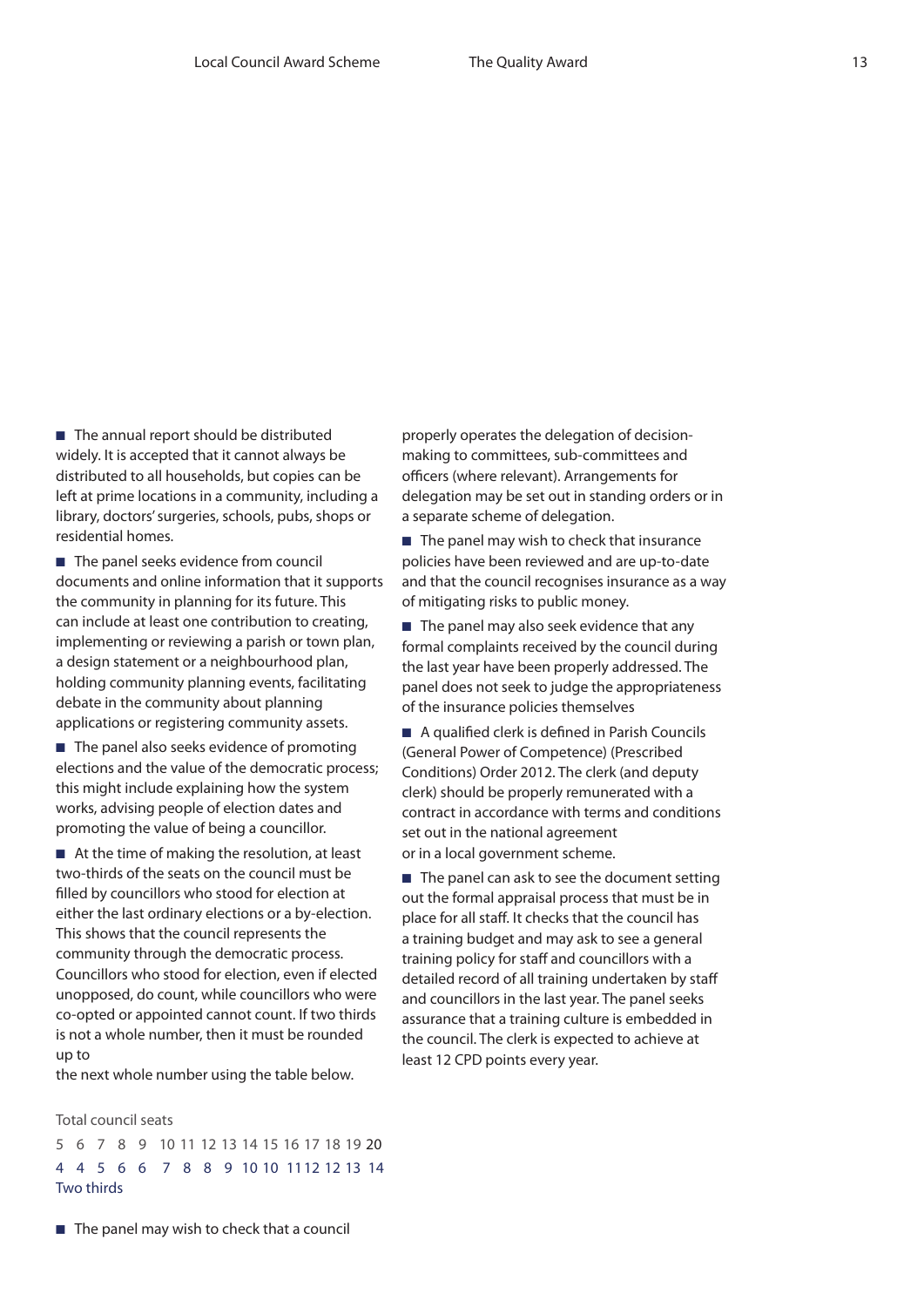■ The annual report should be distributed widely. It is accepted that it cannot always be distributed to all households, but copies can be left at prime locations in a community, including a library, doctors' surgeries, schools, pubs, shops or residential homes.

■ The panel seeks evidence from council documents and online information that it supports the community in planning for its future. This can include at least one contribution to creating, implementing or reviewing a parish or town plan, a design statement or a neighbourhood plan, holding community planning events, facilitating debate in the community about planning applications or registering community assets.

■ The panel also seeks evidence of promoting elections and the value of the democratic process; this might include explaining how the system works, advising people of election dates and promoting the value of being a councillor.

■ At the time of making the resolution, at least two-thirds of the seats on the council must be filled by councillors who stood for election at either the last ordinary elections or a by-election. This shows that the council represents the community through the democratic process. Councillors who stood for election, even if elected unopposed, do count, while councillors who were co-opted or appointed cannot count. If two thirds is not a whole number, then it must be rounded up to

the next whole number using the table below.

Total council seats

5 6 7 8 9 10 11 12 13 14 15 16 17 18 19 20 4 4 5 6 6 7 8 8 9 10 10 1112 12 13 14 Two thirds

properly operates the delegation of decisionmaking to committees, sub-committees and officers (where relevant). Arrangements for delegation may be set out in standing orders or in a separate scheme of delegation.

■ The panel may wish to check that insurance policies have been reviewed and are up-to-date and that the council recognises insurance as a way of mitigating risks to public money.

■ The panel may also seek evidence that any formal complaints received by the council during the last year have been properly addressed. The panel does not seek to judge the appropriateness of the insurance policies themselves

■ A qualified clerk is defined in Parish Councils (General Power of Competence) (Prescribed Conditions) Order 2012. The clerk (and deputy clerk) should be properly remunerated with a contract in accordance with terms and conditions set out in the national agreement or in a local government scheme.

■ The panel can ask to see the document setting out the formal appraisal process that must be in place for all staff. It checks that the council has a training budget and may ask to see a general training policy for staff and councillors with a detailed record of all training undertaken by staff and councillors in the last year. The panel seeks assurance that a training culture is embedded in the council. The clerk is expected to achieve at least 12 CPD points every year.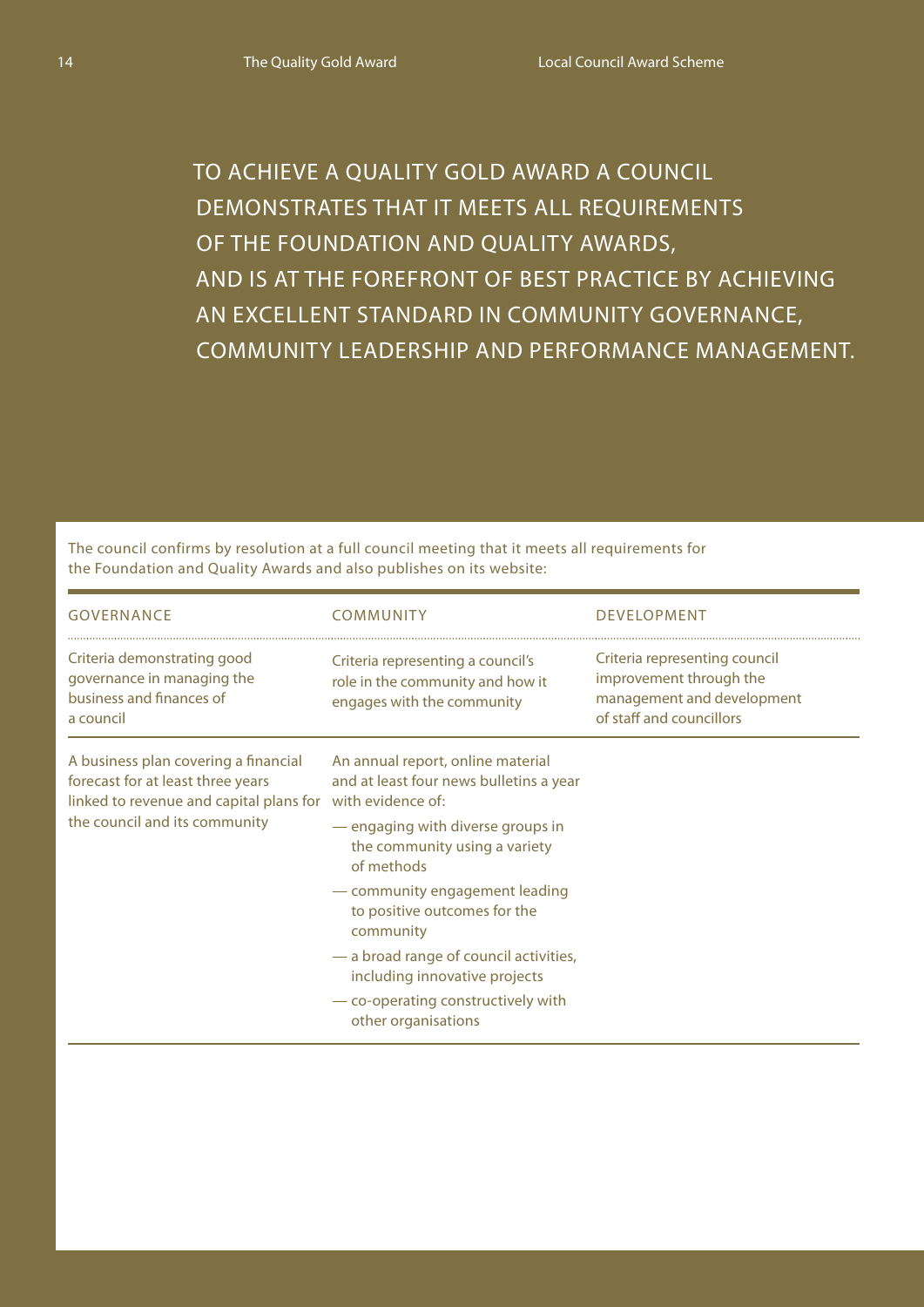To achieve a Quality Gold Award a council demonstrates that it meets all requirements of the Foundation and Quality Awards, and is at the forefront of best practice by achieving an excellent standard in community governance, community leadership and performance management.

The council confirms by resolution at a full council meeting that it meets all requirements for the Foundation and Quality Awards and also publishes on its website:<br>————————————————————

| <b>GOVERNANCE</b>                                                                                                                                                       | COMMUNITY                                                                                                                                                                                                                                                                                                                                                                               | <b>DEVELOPMENT</b>                                                                                                 |
|-------------------------------------------------------------------------------------------------------------------------------------------------------------------------|-----------------------------------------------------------------------------------------------------------------------------------------------------------------------------------------------------------------------------------------------------------------------------------------------------------------------------------------------------------------------------------------|--------------------------------------------------------------------------------------------------------------------|
| Criteria demonstrating good<br>governance in managing the<br>business and finances of<br>a council                                                                      | Criteria representing a council's<br>role in the community and how it<br>engages with the community                                                                                                                                                                                                                                                                                     | Criteria representing council<br>improvement through the<br>management and development<br>of staff and councillors |
| A business plan covering a financial<br>forecast for at least three years<br>linked to revenue and capital plans for with evidence of:<br>the council and its community | An annual report, online material<br>and at least four news bulletins a year<br>- engaging with diverse groups in<br>the community using a variety<br>of methods<br>- community engagement leading<br>to positive outcomes for the<br>community<br>- a broad range of council activities,<br>including innovative projects<br>— co-operating constructively with<br>other organisations |                                                                                                                    |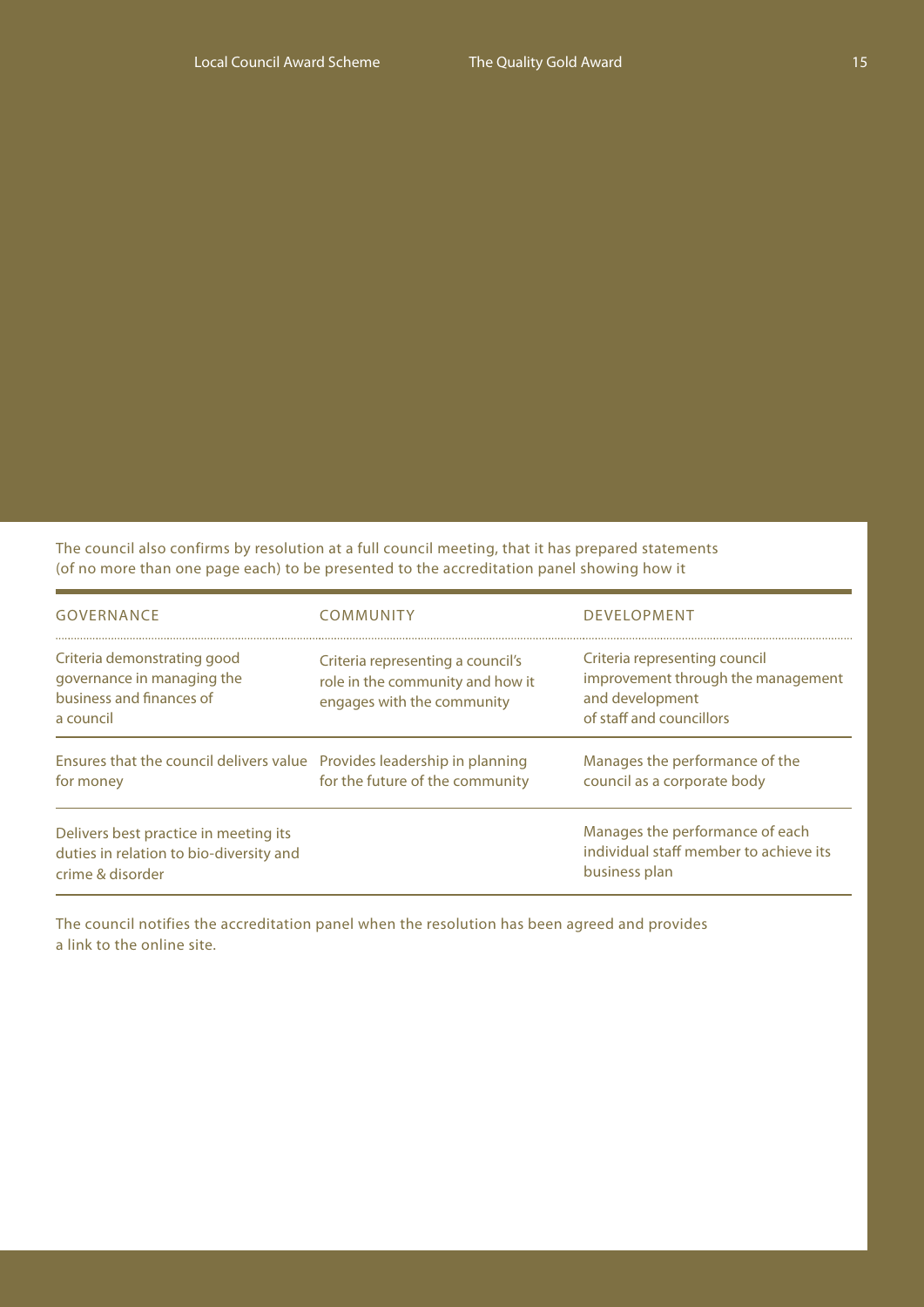The council also confirms by resolution at a full council meeting, that it has prepared statements (of no more than one page each) to be presented to the accreditation panel showing how it

| <b>GOVERNANCE</b>                                                                                    | COMMUNITY                                                                                           | <b>DEVELOPMENT</b>                                                                                                                                                                  |  |
|------------------------------------------------------------------------------------------------------|-----------------------------------------------------------------------------------------------------|-------------------------------------------------------------------------------------------------------------------------------------------------------------------------------------|--|
| Criteria demonstrating good<br>governance in managing the<br>business and finances of<br>a council   | Criteria representing a council's<br>role in the community and how it<br>engages with the community | Criteria representing council<br>improvement through the management<br>and development<br>of staff and councillors<br>Manages the performance of the<br>council as a corporate body |  |
| Ensures that the council delivers value Provides leadership in planning<br>for money                 | for the future of the community                                                                     |                                                                                                                                                                                     |  |
| Delivers best practice in meeting its<br>duties in relation to bio-diversity and<br>crime & disorder |                                                                                                     | Manages the performance of each<br>individual staff member to achieve its<br>business plan                                                                                          |  |

The council notifies the accreditation panel when the resolution has been agreed and provides a link to the online site.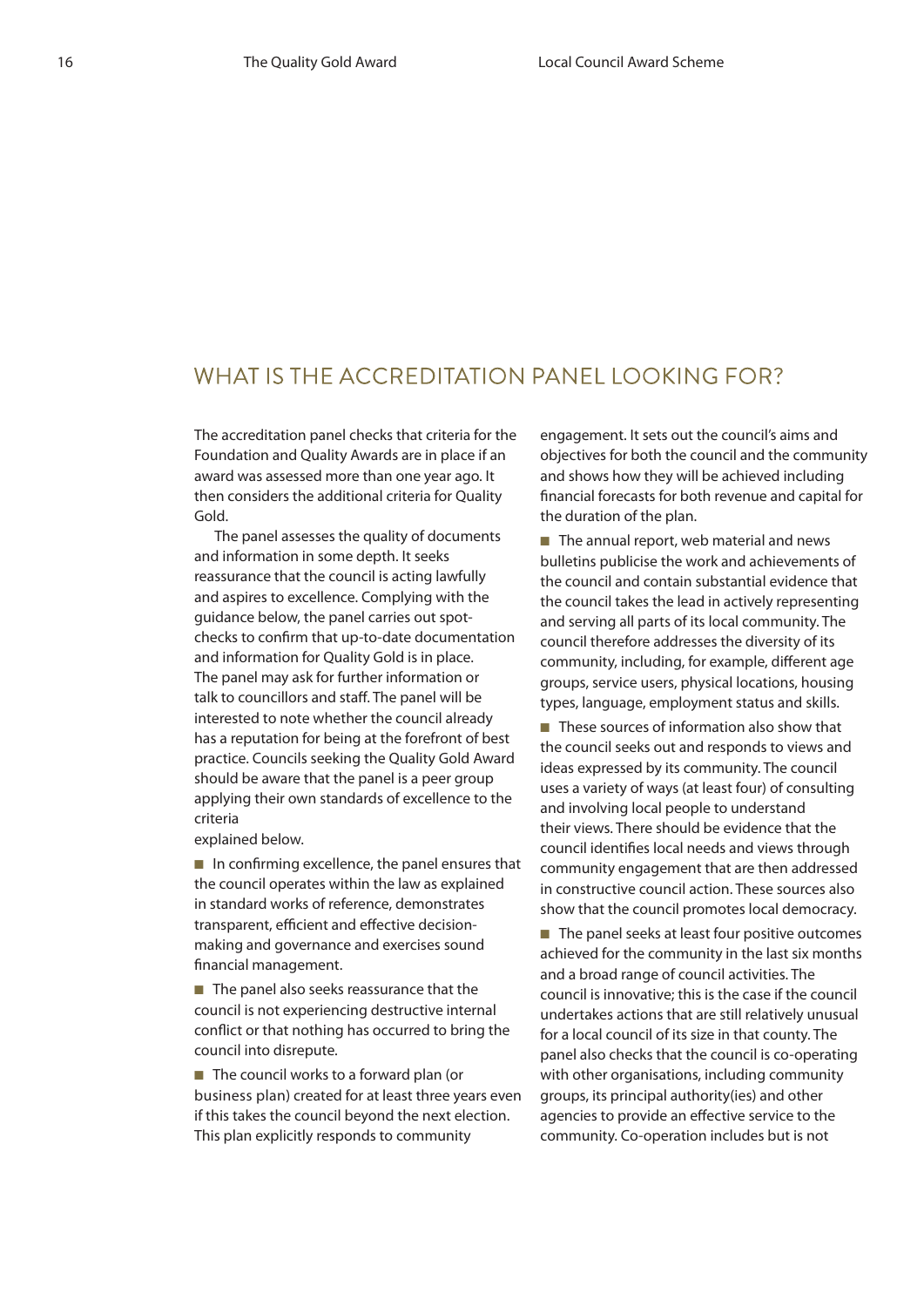## WHAT IS THE ACCREDITATION PANEL LOOKING FOR?

The accreditation panel checks that criteria for the Foundation and Quality Awards are in place if an award was assessed more than one year ago. It then considers the additional criteria for Quality Gold.

The panel assesses the quality of documents and information in some depth. It seeks reassurance that the council is acting lawfully and aspires to excellence. Complying with the guidance below, the panel carries out spotchecks to confirm that up-to-date documentation and information for Quality Gold is in place. The panel may ask for further information or talk to councillors and staff. The panel will be interested to note whether the council already has a reputation for being at the forefront of best practice. Councils seeking the Quality Gold Award should be aware that the panel is a peer group applying their own standards of excellence to the criteria

explained below.

■ In confirming excellence, the panel ensures that the council operates within the law as explained in standard works of reference, demonstrates transparent, efficient and effective decisionmaking and governance and exercises sound financial management.

■ The panel also seeks reassurance that the council is not experiencing destructive internal conflict or that nothing has occurred to bring the council into disrepute.

■ The council works to a forward plan (or business plan) created for at least three years even if this takes the council beyond the next election. This plan explicitly responds to community

engagement. It sets out the council's aims and objectives for both the council and the community and shows how they will be achieved including financial forecasts for both revenue and capital for the duration of the plan.

■ The annual report, web material and news bulletins publicise the work and achievements of the council and contain substantial evidence that the council takes the lead in actively representing and serving all parts of its local community. The council therefore addresses the diversity of its community, including, for example, different age groups, service users, physical locations, housing types, language, employment status and skills.

■ These sources of information also show that the council seeks out and responds to views and ideas expressed by its community. The council uses a variety of ways (at least four) of consulting and involving local people to understand their views. There should be evidence that the council identifies local needs and views through community engagement that are then addressed in constructive council action. These sources also show that the council promotes local democracy.

■ The panel seeks at least four positive outcomes achieved for the community in the last six months and a broad range of council activities. The council is innovative; this is the case if the council undertakes actions that are still relatively unusual for a local council of its size in that county. The panel also checks that the council is co-operating with other organisations, including community groups, its principal authority(ies) and other agencies to provide an effective service to the community. Co-operation includes but is not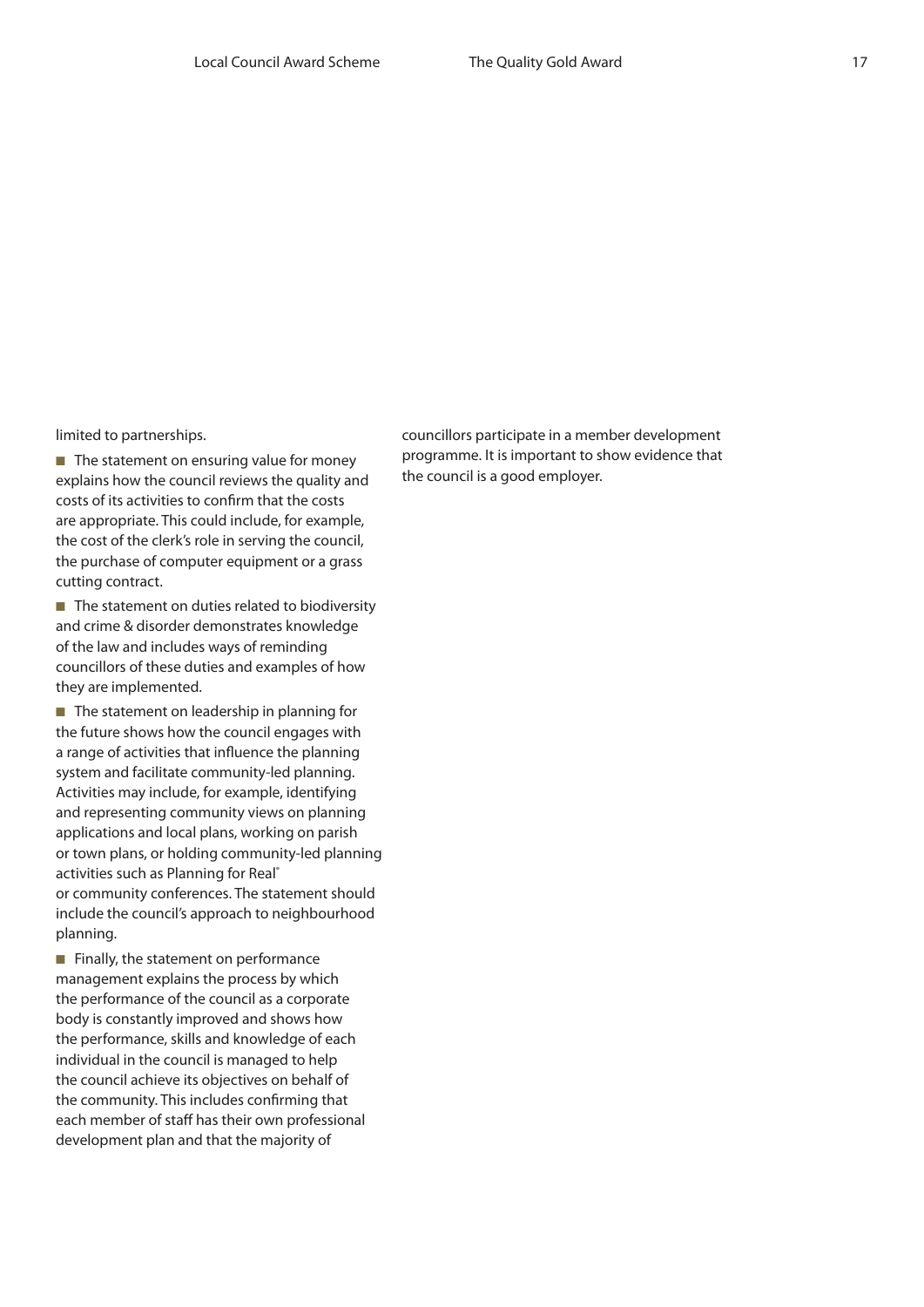limited to partnerships.

■ The statement on ensuring value for money explains how the council reviews the quality and costs of its activities to confirm that the costs are appropriate. This could include, for example, the cost of the clerk's role in serving the council, the purchase of computer equipment or a grass cutting contract.

■ The statement on duties related to biodiversity and crime & disorder demonstrates knowledge of the law and includes ways of reminding councillors of these duties and examples of how they are implemented.

■ The statement on leadership in planning for the future shows how the council engages with a range of activities that influence the planning system and facilitate community-led planning. Activities may include, for example, identifying and representing community views on planning applications and local plans, working on parish or town plans, or holding community-led planning activities such as Planning for Real® or community conferences. The statement should include the council's approach to neighbourhood planning.

■ Finally, the statement on performance management explains the process by which the performance of the council as a corporate body is constantly improved and shows how the performance, skills and knowledge of each individual in the council is managed to help the council achieve its objectives on behalf of the community. This includes confirming that each member of staff has their own professional development plan and that the majority of

councillors participate in a member development programme. It is important to show evidence that the council is a good employer.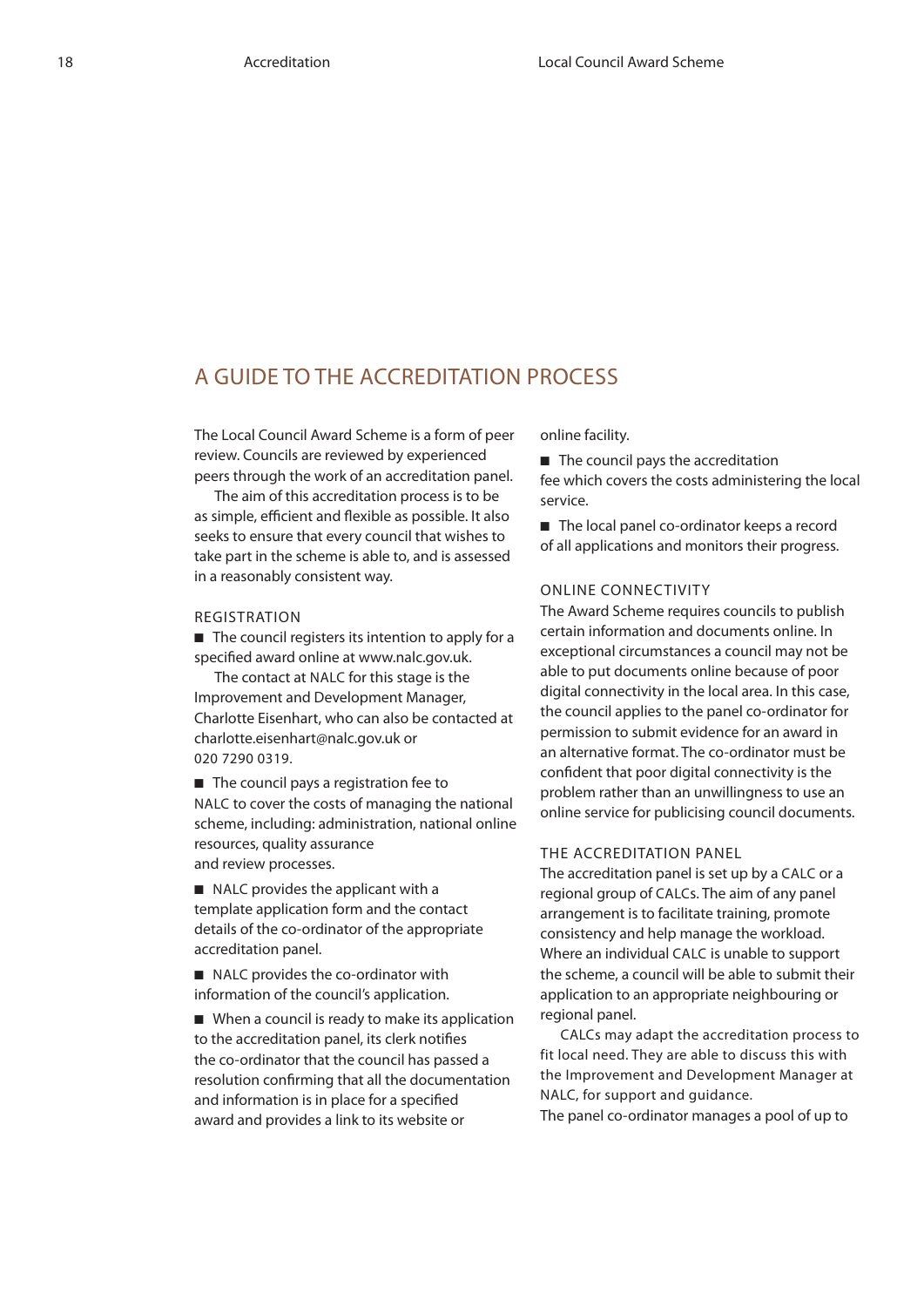## A guide to the accreditation process

The Local Council Award Scheme is a form of peer review. Councils are reviewed by experienced peers through the work of an accreditation panel.

The aim of this accreditation process is to be as simple, efficient and flexible as possible. It also seeks to ensure that every council that wishes to take part in the scheme is able to, and is assessed in a reasonably consistent way.

#### Registration

■ The council registers its intention to apply for a specified award online at www.nalc.gov.uk.

The contact at NALC for this stage is the Improvement and Development Manager, Charlotte Eisenhart, who can also be contacted at charlotte.eisenhart@nalc.gov.uk or 020 7290 0319.

■ The council pays a registration fee to NALC to cover the costs of managing the national scheme, including: administration, national online resources, quality assurance and review processes.

■ NALC provides the applicant with a template application form and the contact details of the co-ordinator of the appropriate accreditation panel.

■ NALC provides the co-ordinator with information of the council's application.

■ When a council is ready to make its application to the accreditation panel, its clerk notifies the co-ordinator that the council has passed a resolution confirming that all the documentation and information is in place for a specified award and provides a link to its website or

online facility.

■ The council pays the accreditation fee which covers the costs administering the local service.

■ The local panel co-ordinator keeps a record of all applications and monitors their progress.

#### Online connectivity

The Award Scheme requires councils to publish certain information and documents online. In exceptional circumstances a council may not be able to put documents online because of poor digital connectivity in the local area. In this case, the council applies to the panel co-ordinator for permission to submit evidence for an award in an alternative format. The co-ordinator must be confident that poor digital connectivity is the problem rather than an unwillingness to use an online service for publicising council documents.

#### The accreditation panel

The accreditation panel is set up by a CALC or a regional group of CALCs. The aim of any panel arrangement is to facilitate training, promote consistency and help manage the workload. Where an individual CALC is unable to support the scheme, a council will be able to submit their application to an appropriate neighbouring or regional panel.

CALCs may adapt the accreditation process to fit local need. They are able to discuss this with the Improvement and Development Manager at NALC, for support and guidance.

The panel co-ordinator manages a pool of up to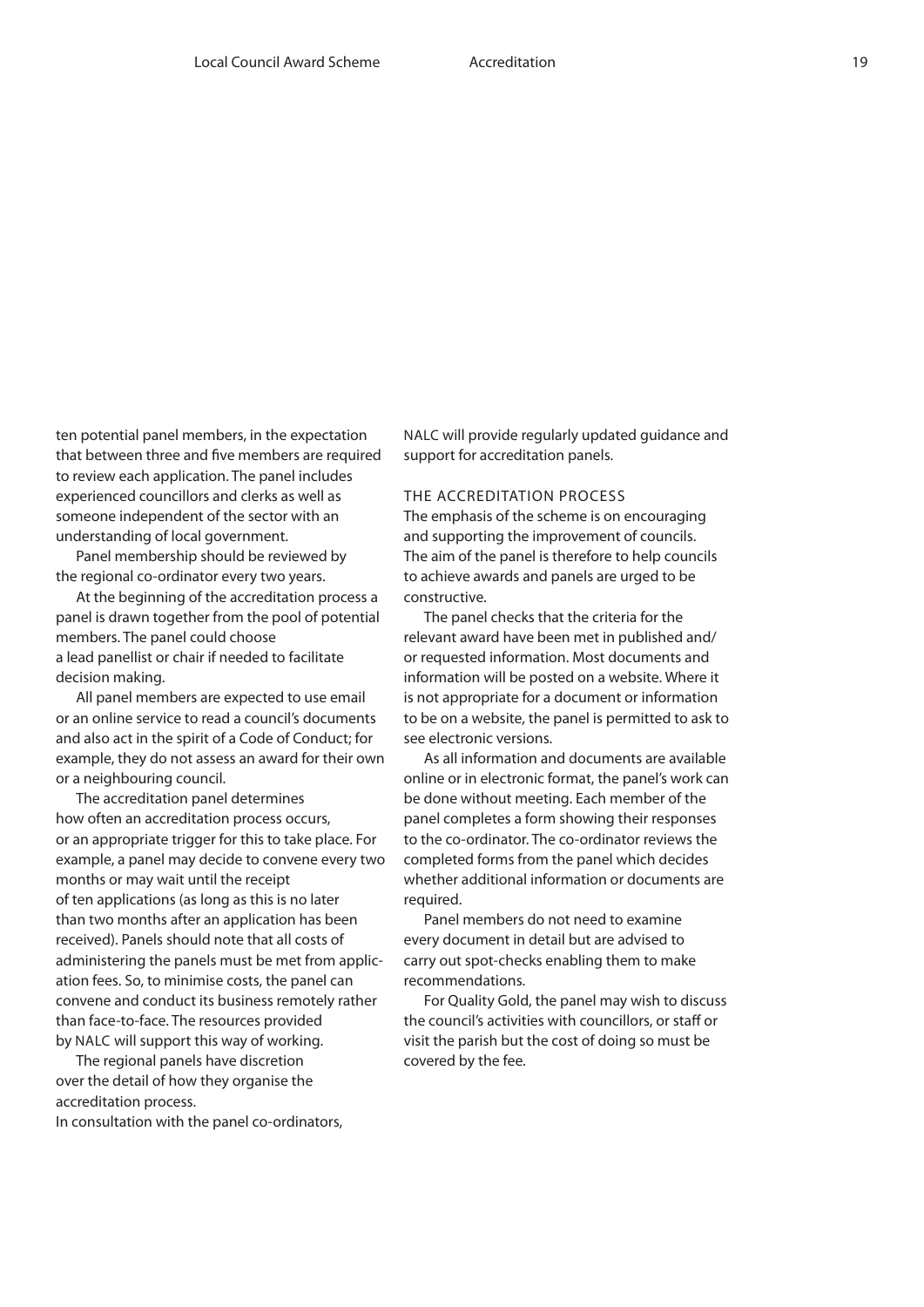ten potential panel members, in the expectation that between three and five members are required to review each application. The panel includes experienced councillors and clerks as well as someone independent of the sector with an understanding of local government.

Panel membership should be reviewed by the regional co-ordinator every two years.

At the beginning of the accreditation process a panel is drawn together from the pool of potential members. The panel could choose a lead panellist or chair if needed to facilitate decision making.

All panel members are expected to use email or an online service to read a council's documents and also act in the spirit of a Code of Conduct; for example, they do not assess an award for their own or a neighbouring council.

The accreditation panel determines how often an accreditation process occurs, or an appropriate trigger for this to take place. For example, a panel may decide to convene every two months or may wait until the receipt of ten applications (as long as this is no later than two months after an application has been received). Panels should note that all costs of administering the panels must be met from application fees. So, to minimise costs, the panel can convene and conduct its business remotely rather than face-to-face. The resources provided by NALC will support this way of working.

The regional panels have discretion over the detail of how they organise the accreditation process.

In consultation with the panel co-ordinators,

NALC will provide regularly updated guidance and support for accreditation panels.

#### The accreditation process

The emphasis of the scheme is on encouraging and supporting the improvement of councils. The aim of the panel is therefore to help councils to achieve awards and panels are urged to be constructive.

The panel checks that the criteria for the relevant award have been met in published and/ or requested information. Most documents and information will be posted on a website. Where it is not appropriate for a document or information to be on a website, the panel is permitted to ask to see electronic versions.

As all information and documents are available online or in electronic format, the panel's work can be done without meeting. Each member of the panel completes a form showing their responses to the co-ordinator. The co-ordinator reviews the completed forms from the panel which decides whether additional information or documents are required.

Panel members do not need to examine every document in detail but are advised to carry out spot-checks enabling them to make recommendations.

For Quality Gold, the panel may wish to discuss the council's activities with councillors, or staff or visit the parish but the cost of doing so must be covered by the fee.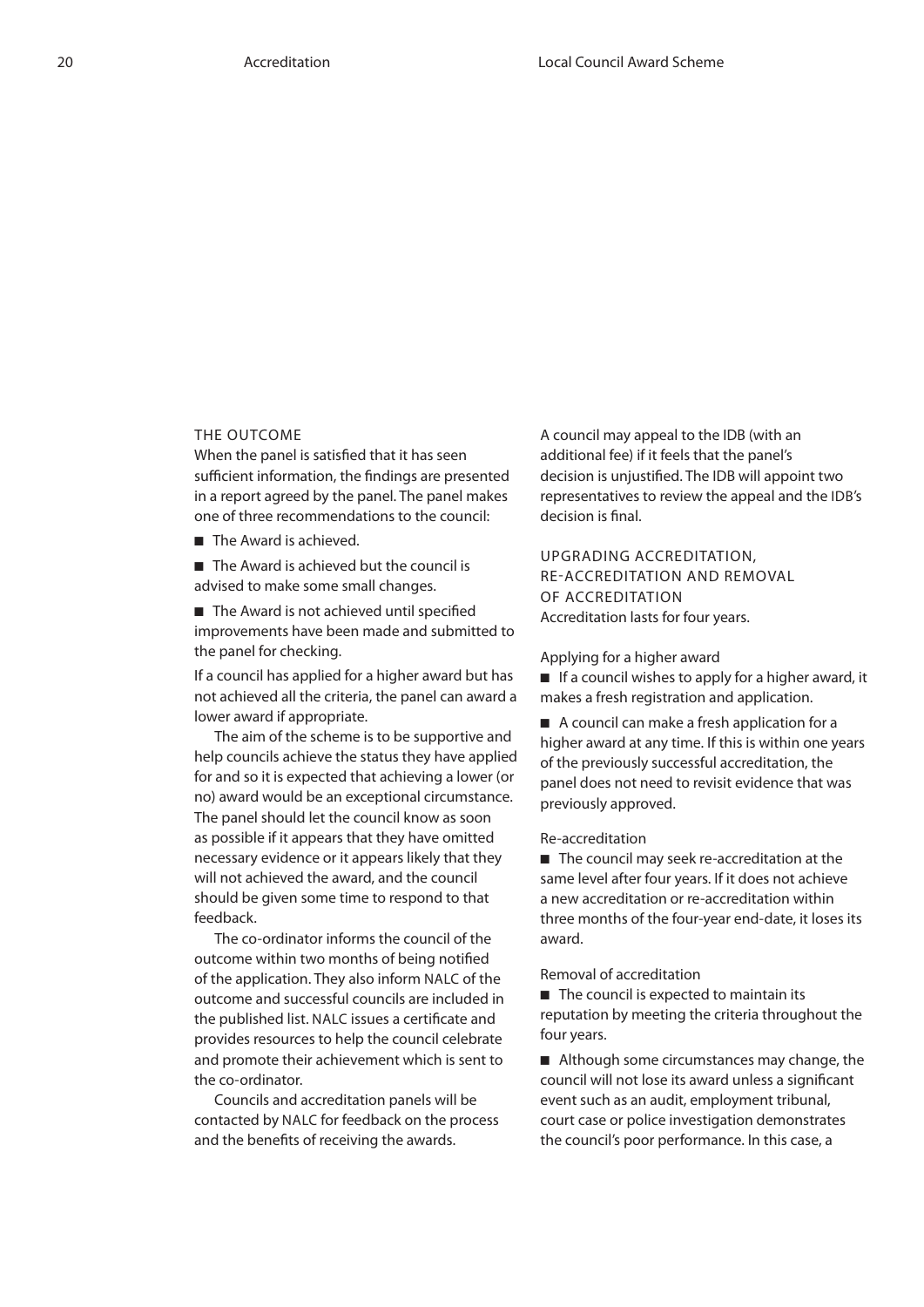#### The outcome

When the panel is satisfied that it has seen sufficient information, the findings are presented in a report agreed by the panel. The panel makes one of three recommendations to the council:

■ The Award is achieved.

■ The Award is achieved but the council is advised to make some small changes.

■ The Award is not achieved until specified improvements have been made and submitted to the panel for checking.

If a council has applied for a higher award but has not achieved all the criteria, the panel can award a lower award if appropriate.

The aim of the scheme is to be supportive and help councils achieve the status they have applied for and so it is expected that achieving a lower (or no) award would be an exceptional circumstance. The panel should let the council know as soon as possible if it appears that they have omitted necessary evidence or it appears likely that they will not achieved the award, and the council should be given some time to respond to that feedback.

The co-ordinator informs the council of the outcome within two months of being notified of the application. They also inform NALC of the outcome and successful councils are included in the published list. NALC issues a certificate and provides resources to help the council celebrate and promote their achievement which is sent to the co-ordinator.

Councils and accreditation panels will be contacted by NALC for feedback on the process and the benefits of receiving the awards.

A council may appeal to the IDB (with an additional fee) if it feels that the panel's decision is unjustified. The IDB will appoint two representatives to review the appeal and the IDB's decision is final.

Upgrading accreditation, re-accreditation and removal of accreditation Accreditation lasts for four years.

#### Applying for a higher award

■ If a council wishes to apply for a higher award, it makes a fresh registration and application.

■ A council can make a fresh application for a higher award at any time. If this is within one years of the previously successful accreditation, the panel does not need to revisit evidence that was previously approved.

#### Re-accreditation

■ The council may seek re-accreditation at the same level after four years. If it does not achieve a new accreditation or re-accreditation within three months of the four-year end-date, it loses its award.

#### Removal of accreditation

■ The council is expected to maintain its reputation by meeting the criteria throughout the four years.

■ Although some circumstances may change, the council will not lose its award unless a significant event such as an audit, employment tribunal, court case or police investigation demonstrates the council's poor performance. In this case, a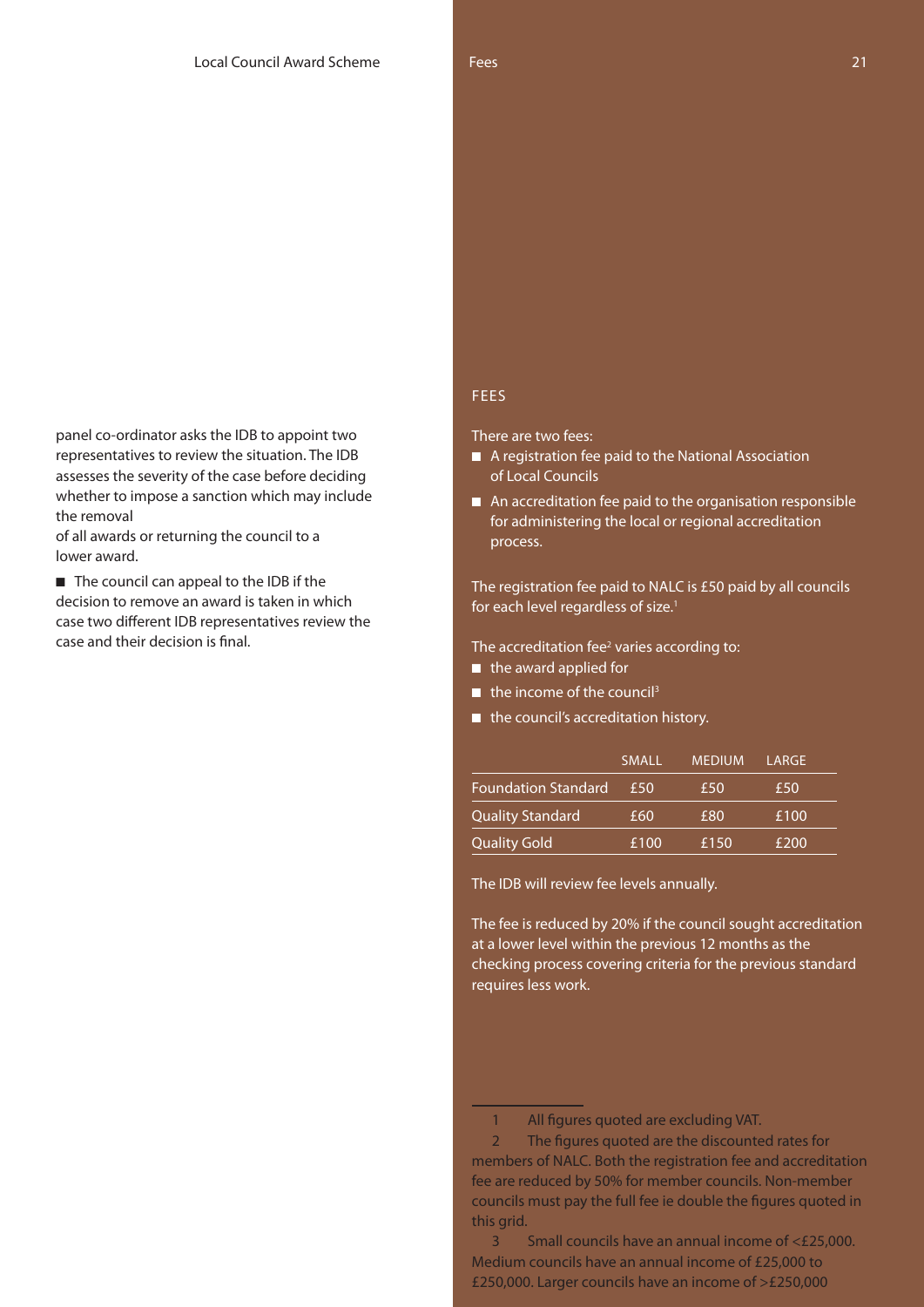panel co-ordinator asks the IDB to appoint two representatives to review the situation. The IDB assesses the severity of the case before deciding whether to impose a sanction which may include the removal

of all awards or returning the council to a lower award.

■ The council can appeal to the IDB if the decision to remove an award is taken in which case two different IDB representatives review the case and their decision is final.

#### **FEES**

There are two fees:

- A registration fee paid to the National Association of Local Councils
- An accreditation fee paid to the organisation responsible for administering the local or regional accreditation process.

The registration fee paid to NALC is £50 paid by all councils for each level regardless of size.<sup>1</sup>

The accreditation fee<sup>2</sup> varies according to:

- the award applied for
- $\blacksquare$  the income of the council<sup>3</sup>
- the council's accreditation history.

|                            | <b>SMALL</b> | <b>MEDIUM</b> | LARGE |  |
|----------------------------|--------------|---------------|-------|--|
| <b>Foundation Standard</b> | £50          | £50           | £50   |  |
| Quality Standard           | £60          | £80           | £100  |  |
| Quality Gold               | £100         | £150          | £200  |  |

The IDB will review fee levels annually.

The fee is reduced by 20% if the council sought accreditation at a lower level within the previous 12 months as the checking process covering criteria for the previous standard requires less work.

<sup>1</sup> All figures quoted are excluding VAT.

<sup>2</sup> The figures quoted are the discounted rates for members of NALC. Both the registration fee and accreditation fee are reduced by 50% for member councils. Non-member councils must pay the full fee ie double the figures quoted in this grid.

<sup>3</sup> Small councils have an annual income of <£25,000. Medium councils have an annual income of £25,000 to £250,000. Larger councils have an income of >£250,000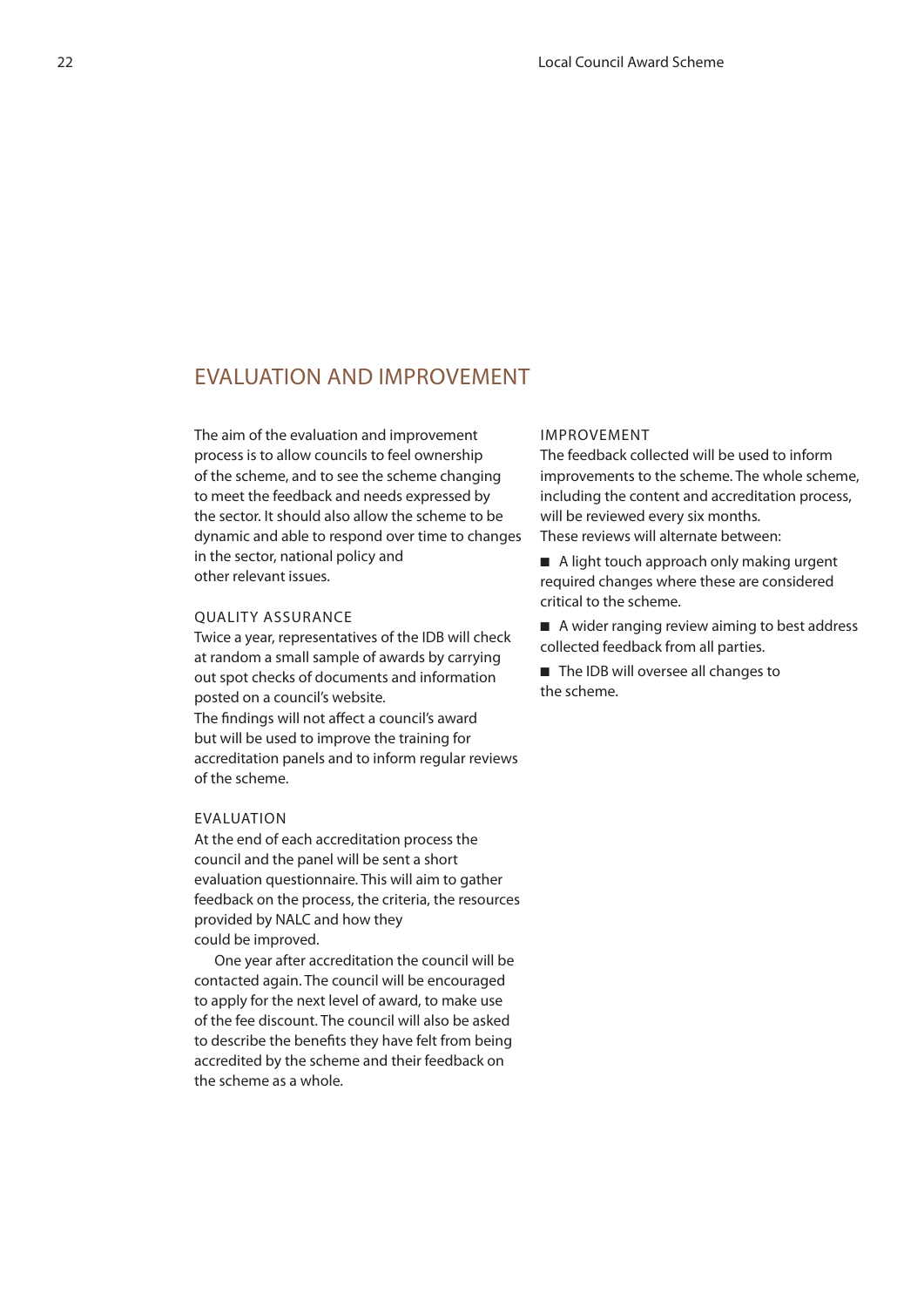### Evaluation and Improvement

The aim of the evaluation and improvement process is to allow councils to feel ownership of the scheme, and to see the scheme changing to meet the feedback and needs expressed by the sector. It should also allow the scheme to be dynamic and able to respond over time to changes in the sector, national policy and other relevant issues.

#### Quality assurance

Twice a year, representatives of the IDB will check at random a small sample of awards by carrying out spot checks of documents and information posted on a council's website. The findings will not affect a council's award but will be used to improve the training for accreditation panels and to inform regular reviews of the scheme.

#### Evaluation

At the end of each accreditation process the council and the panel will be sent a short evaluation questionnaire. This will aim to gather feedback on the process, the criteria, the resources provided by NALC and how they could be improved.

One year after accreditation the council will be contacted again. The council will be encouraged to apply for the next level of award, to make use of the fee discount. The council will also be asked to describe the benefits they have felt from being accredited by the scheme and their feedback on the scheme as a whole.

#### Improvement

The feedback collected will be used to inform improvements to the scheme. The whole scheme, including the content and accreditation process, will be reviewed every six months. These reviews will alternate between:

- A light touch approach only making urgent required changes where these are considered critical to the scheme.
- A wider ranging review aiming to best address collected feedback from all parties.
- The IDB will oversee all changes to the scheme.